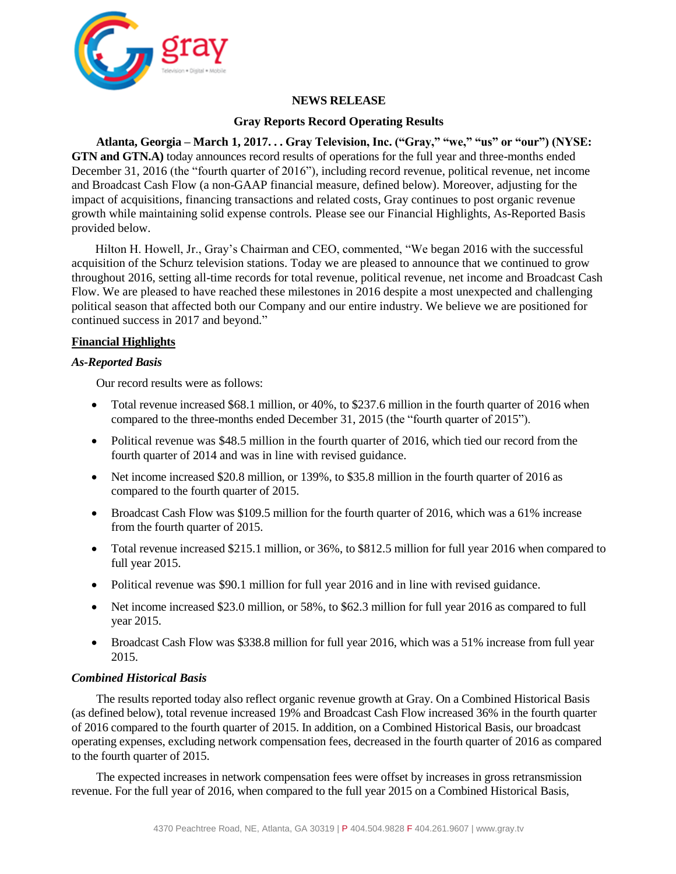

# **NEWS RELEASE**

## **Gray Reports Record Operating Results**

**Atlanta, Georgia – March 1, 2017. . . Gray Television, Inc. ("Gray," "we," "us" or "our") (NYSE: GTN and GTN.A)** today announces record results of operations for the full year and three-months ended December 31, 2016 (the "fourth quarter of 2016"), including record revenue, political revenue, net income and Broadcast Cash Flow (a non-GAAP financial measure, defined below). Moreover, adjusting for the impact of acquisitions, financing transactions and related costs, Gray continues to post organic revenue growth while maintaining solid expense controls. Please see our Financial Highlights, As-Reported Basis provided below.

Hilton H. Howell, Jr., Gray's Chairman and CEO, commented, "We began 2016 with the successful acquisition of the Schurz television stations. Today we are pleased to announce that we continued to grow throughout 2016, setting all-time records for total revenue, political revenue, net income and Broadcast Cash Flow. We are pleased to have reached these milestones in 2016 despite a most unexpected and challenging political season that affected both our Company and our entire industry. We believe we are positioned for continued success in 2017 and beyond."

## **Financial Highlights**

#### *As-Reported Basis*

Our record results were as follows:

- Total revenue increased \$68.1 million, or 40%, to \$237.6 million in the fourth quarter of 2016 when compared to the three-months ended December 31, 2015 (the "fourth quarter of 2015").
- Political revenue was \$48.5 million in the fourth quarter of 2016, which tied our record from the fourth quarter of 2014 and was in line with revised guidance.
- Net income increased \$20.8 million, or 139%, to \$35.8 million in the fourth quarter of 2016 as compared to the fourth quarter of 2015.
- Broadcast Cash Flow was \$109.5 million for the fourth quarter of 2016, which was a 61% increase from the fourth quarter of 2015.
- Total revenue increased \$215.1 million, or 36%, to \$812.5 million for full year 2016 when compared to full year 2015.
- Political revenue was \$90.1 million for full year 2016 and in line with revised guidance.
- Net income increased \$23.0 million, or 58%, to \$62.3 million for full year 2016 as compared to full year 2015.
- Broadcast Cash Flow was \$338.8 million for full year 2016, which was a 51% increase from full year 2015.

## *Combined Historical Basis*

The results reported today also reflect organic revenue growth at Gray. On a Combined Historical Basis (as defined below), total revenue increased 19% and Broadcast Cash Flow increased 36% in the fourth quarter of 2016 compared to the fourth quarter of 2015. In addition, on a Combined Historical Basis, our broadcast operating expenses, excluding network compensation fees, decreased in the fourth quarter of 2016 as compared to the fourth quarter of 2015.

The expected increases in network compensation fees were offset by increases in gross retransmission revenue. For the full year of 2016, when compared to the full year 2015 on a Combined Historical Basis,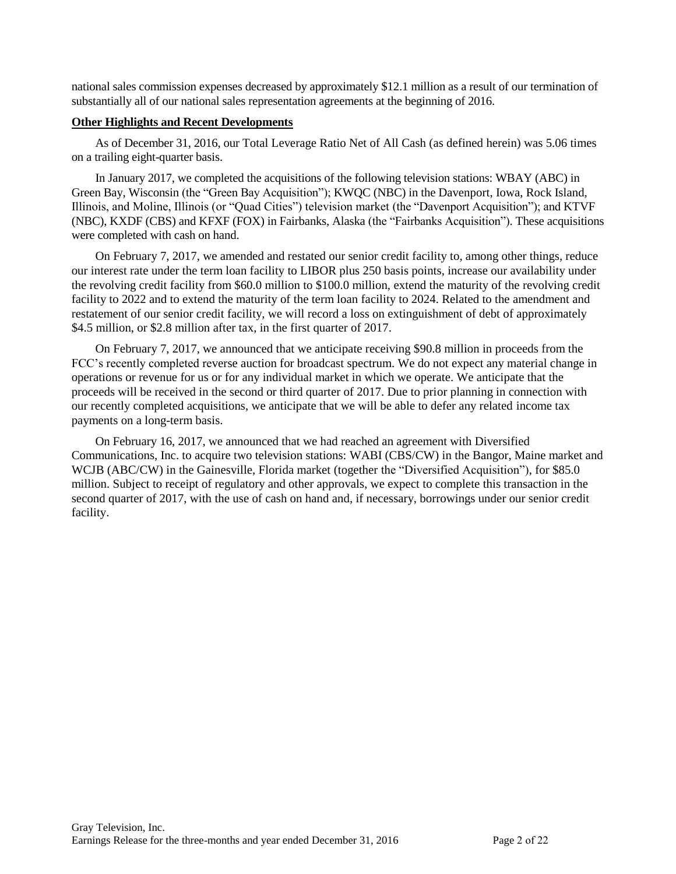national sales commission expenses decreased by approximately \$12.1 million as a result of our termination of substantially all of our national sales representation agreements at the beginning of 2016.

#### **Other Highlights and Recent Developments**

As of December 31, 2016, our Total Leverage Ratio Net of All Cash (as defined herein) was 5.06 times on a trailing eight-quarter basis.

In January 2017, we completed the acquisitions of the following television stations: WBAY (ABC) in Green Bay, Wisconsin (the "Green Bay Acquisition"); KWQC (NBC) in the Davenport, Iowa, Rock Island, Illinois, and Moline, Illinois (or "Quad Cities") television market (the "Davenport Acquisition"); and KTVF (NBC), KXDF (CBS) and KFXF (FOX) in Fairbanks, Alaska (the "Fairbanks Acquisition"). These acquisitions were completed with cash on hand.

On February 7, 2017, we amended and restated our senior credit facility to, among other things, reduce our interest rate under the term loan facility to LIBOR plus 250 basis points, increase our availability under the revolving credit facility from \$60.0 million to \$100.0 million, extend the maturity of the revolving credit facility to 2022 and to extend the maturity of the term loan facility to 2024. Related to the amendment and restatement of our senior credit facility, we will record a loss on extinguishment of debt of approximately \$4.5 million, or \$2.8 million after tax, in the first quarter of 2017.

On February 7, 2017, we announced that we anticipate receiving \$90.8 million in proceeds from the FCC's recently completed reverse auction for broadcast spectrum. We do not expect any material change in operations or revenue for us or for any individual market in which we operate. We anticipate that the proceeds will be received in the second or third quarter of 2017. Due to prior planning in connection with our recently completed acquisitions, we anticipate that we will be able to defer any related income tax payments on a long-term basis.

On February 16, 2017, we announced that we had reached an agreement with Diversified Communications, Inc. to acquire two television stations: WABI (CBS/CW) in the Bangor, Maine market and WCJB (ABC/CW) in the Gainesville, Florida market (together the "Diversified Acquisition"), for \$85.0 million. Subject to receipt of regulatory and other approvals, we expect to complete this transaction in the second quarter of 2017, with the use of cash on hand and, if necessary, borrowings under our senior credit facility.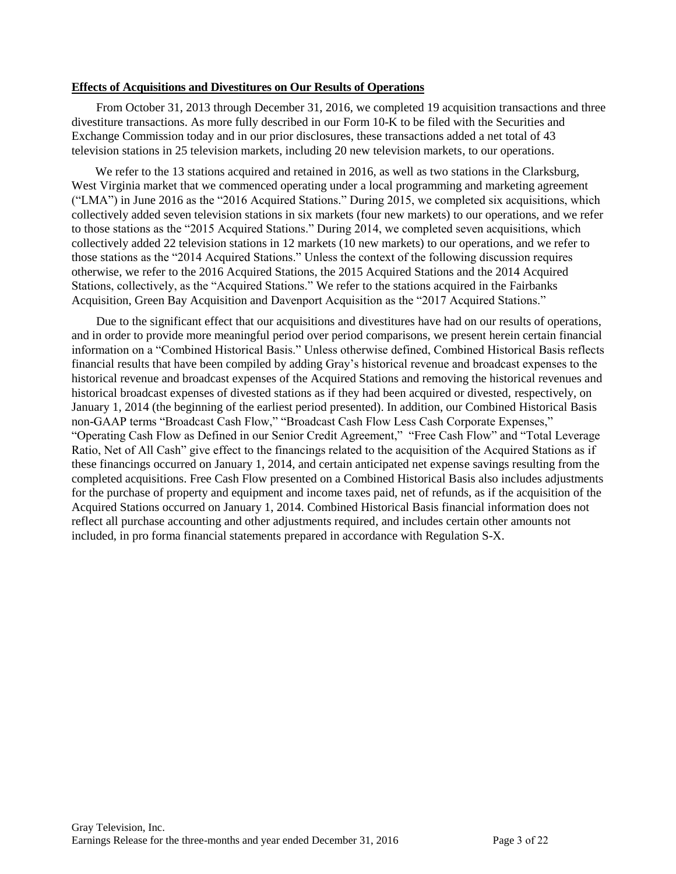#### **Effects of Acquisitions and Divestitures on Our Results of Operations**

From October 31, 2013 through December 31, 2016, we completed 19 acquisition transactions and three divestiture transactions. As more fully described in our Form 10-K to be filed with the Securities and Exchange Commission today and in our prior disclosures, these transactions added a net total of 43 television stations in 25 television markets, including 20 new television markets, to our operations.

We refer to the 13 stations acquired and retained in 2016, as well as two stations in the Clarksburg, West Virginia market that we commenced operating under a local programming and marketing agreement ("LMA") in June 2016 as the "2016 Acquired Stations." During 2015, we completed six acquisitions, which collectively added seven television stations in six markets (four new markets) to our operations, and we refer to those stations as the "2015 Acquired Stations." During 2014, we completed seven acquisitions, which collectively added 22 television stations in 12 markets (10 new markets) to our operations, and we refer to those stations as the "2014 Acquired Stations." Unless the context of the following discussion requires otherwise, we refer to the 2016 Acquired Stations, the 2015 Acquired Stations and the 2014 Acquired Stations, collectively, as the "Acquired Stations." We refer to the stations acquired in the Fairbanks Acquisition, Green Bay Acquisition and Davenport Acquisition as the "2017 Acquired Stations."

Due to the significant effect that our acquisitions and divestitures have had on our results of operations, and in order to provide more meaningful period over period comparisons, we present herein certain financial information on a "Combined Historical Basis." Unless otherwise defined, Combined Historical Basis reflects financial results that have been compiled by adding Gray's historical revenue and broadcast expenses to the historical revenue and broadcast expenses of the Acquired Stations and removing the historical revenues and historical broadcast expenses of divested stations as if they had been acquired or divested, respectively, on January 1, 2014 (the beginning of the earliest period presented). In addition, our Combined Historical Basis non-GAAP terms "Broadcast Cash Flow," "Broadcast Cash Flow Less Cash Corporate Expenses," "Operating Cash Flow as Defined in our Senior Credit Agreement," "Free Cash Flow" and "Total Leverage Ratio, Net of All Cash" give effect to the financings related to the acquisition of the Acquired Stations as if these financings occurred on January 1, 2014, and certain anticipated net expense savings resulting from the completed acquisitions. Free Cash Flow presented on a Combined Historical Basis also includes adjustments for the purchase of property and equipment and income taxes paid, net of refunds, as if the acquisition of the Acquired Stations occurred on January 1, 2014. Combined Historical Basis financial information does not reflect all purchase accounting and other adjustments required, and includes certain other amounts not included, in pro forma financial statements prepared in accordance with Regulation S-X.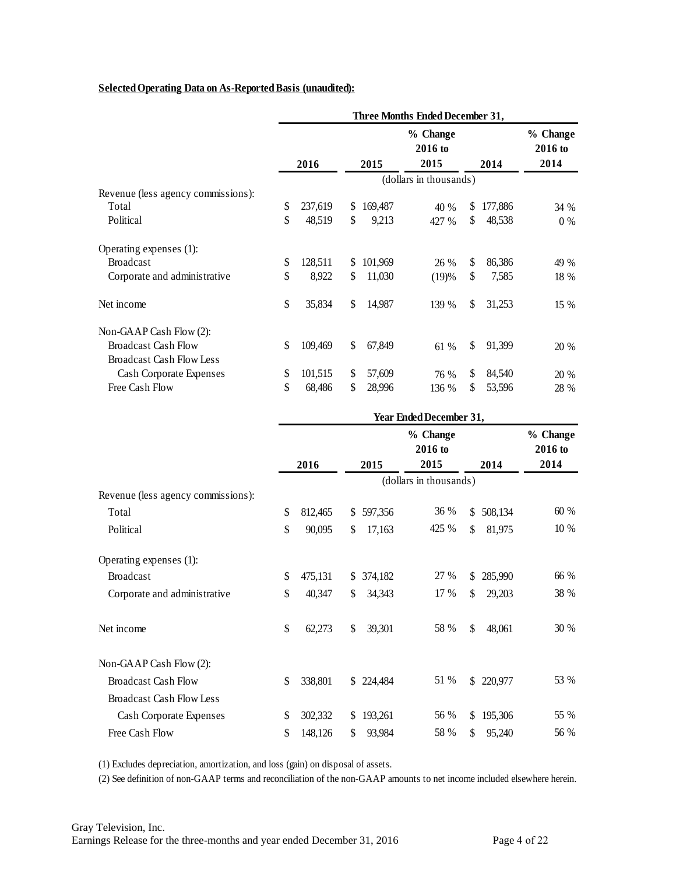## **Selected Operating Data on As-Reported Basis (unaudited):**

| <u>Selected Operating Data on As-Reported Basis (unaudited):</u> |      |         |               |                             |               |                             |
|------------------------------------------------------------------|------|---------|---------------|-----------------------------|---------------|-----------------------------|
|                                                                  |      |         |               |                             |               |                             |
|                                                                  | 2016 |         | 2015          | % Change<br>2016 to<br>2015 | 2014          | % Change<br>2016 to<br>2014 |
|                                                                  |      |         |               | (dollars in thousands)      |               |                             |
| Revenue (less agency commissions):                               |      |         |               |                             |               |                             |
| Total                                                            | \$   | 237,619 | \$<br>169,487 | 40 %                        | \$<br>177,886 | 34 %                        |
| Political                                                        | \$   | 48,519  | \$<br>9,213   | 427 %                       | \$<br>48,538  | $0\%$                       |
| Operating expenses (1):                                          |      |         |               |                             |               |                             |
| <b>Broadcast</b>                                                 | \$   | 128,511 | \$<br>101,969 | 26 %                        | \$<br>86,386  | 49 %                        |
| Corporate and administrative                                     | \$   | 8,922   | \$<br>11,030  | (19)%                       | \$<br>7,585   | 18 %                        |
| Net income                                                       | \$   | 35,834  | \$<br>14,987  | 139 %                       | \$<br>31,253  | 15 %                        |
| Non-GAAP Cash Flow (2):                                          |      |         |               |                             |               |                             |
| <b>Broadcast Cash Flow</b>                                       | \$   | 109,469 | \$<br>67,849  | 61 %                        | \$<br>91,399  | 20 %                        |
| <b>Broadcast Cash Flow Less</b>                                  |      |         |               |                             |               |                             |
| Cash Corporate Expenses                                          | \$   | 101,515 | \$<br>57,609  | 76 %                        | \$<br>84,540  | 20 %                        |
| Free Cash Flow                                                   | \$   | 68,486  | \$<br>28,996  | 136 %                       | \$<br>53,596  | 28 %                        |

| <b>Free Cash Flow</b>              | P  | 08,480  | P  | 28,990  | 136 %                       | Φ            | 33,396     | 28 %                        |
|------------------------------------|----|---------|----|---------|-----------------------------|--------------|------------|-----------------------------|
|                                    |    |         |    |         | Year Ended December 31,     |              |            |                             |
|                                    |    | 2016    |    | 2015    | % Change<br>2016 to<br>2015 |              | 2014       | % Change<br>2016 to<br>2014 |
|                                    |    |         |    |         | (dollars in thousands)      |              |            |                             |
| Revenue (less agency commissions): |    |         |    |         |                             |              |            |                             |
| Total                              | \$ | 812,465 | \$ | 597,356 | 36 %                        | \$           | 508,134    | 60 %                        |
| Political                          | \$ | 90,095  | \$ | 17,163  | 425 %                       | \$           | 81,975     | $10\ \%$                    |
| Operating expenses (1):            |    |         |    |         |                             |              |            |                             |
| <b>Broadcast</b>                   | \$ | 475,131 | \$ | 374,182 | 27 %                        | \$           | 285,990    | 66 %                        |
| Corporate and administrative       | \$ | 40,347  | \$ | 34,343  | 17 %                        | \$           | 29,203     | 38 %                        |
| Net income                         | \$ | 62,273  | \$ | 39,301  | 58 %                        | $\mathbb{S}$ | 48,061     | 30 %                        |
| Non-GAAP Cash Flow (2):            |    |         |    |         |                             |              |            |                             |
| <b>Broadcast Cash Flow</b>         | \$ | 338,801 | \$ | 224,484 | 51 %                        |              | \$ 220,977 | 53 %                        |
| <b>Broadcast Cash Flow Less</b>    |    |         |    |         |                             |              |            |                             |
| Cash Corporate Expenses            | \$ | 302,332 | S  | 193,261 | 56 %                        | \$           | 195,306    | 55 %                        |
| Free Cash Flow                     | \$ | 148,126 | \$ | 93,984  | 58 %                        | \$           | 95,240     | 56 %                        |

(1) Excludes depreciation, amortization, and loss (gain) on disposal of assets.

(2) See definition of non-GAAP terms and reconciliation of the non-GAAP amounts to net income included elsewhere herein.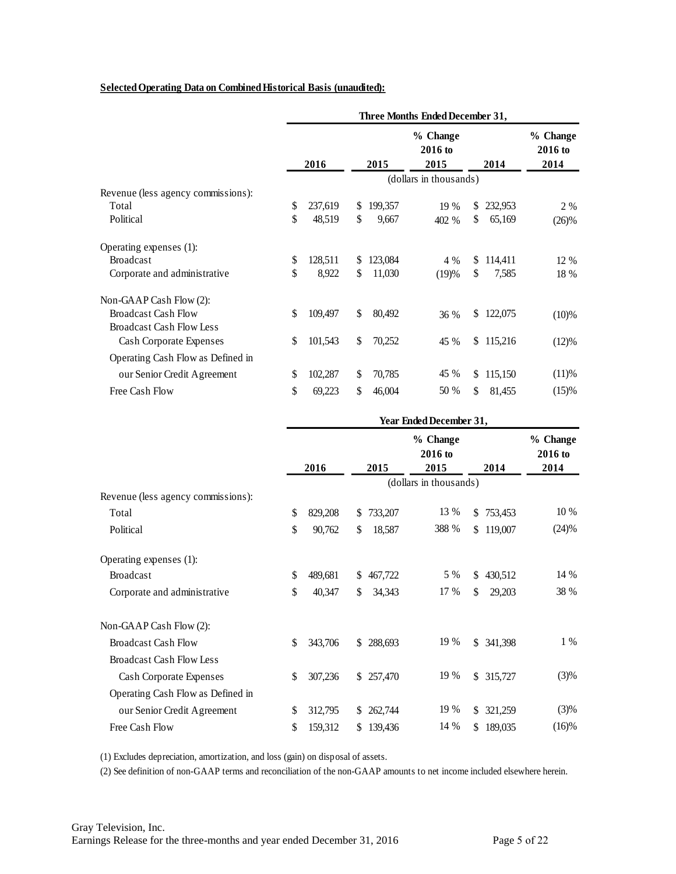#### **Selected Operating Data on Combined Historical Basis (unaudited):**

|                                    | Three Months Ended December 31, |         |               |         |                             |     |           |                             |  |  |
|------------------------------------|---------------------------------|---------|---------------|---------|-----------------------------|-----|-----------|-----------------------------|--|--|
|                                    |                                 | 2016    |               | 2015    | % Change<br>2016 to<br>2015 |     | 2014      | % Change<br>2016 to<br>2014 |  |  |
|                                    |                                 |         |               |         | (dollars in thousands)      |     |           |                             |  |  |
| Revenue (less agency commissions): |                                 |         |               |         |                             |     |           |                             |  |  |
| Total                              | \$                              | 237,619 | <sup>\$</sup> | 199,357 | 19 %                        | S.  | 232,953   | $2\%$                       |  |  |
| Political                          | \$                              | 48,519  | \$            | 9,667   | 402 %                       | \$. | 65,169    | $(26)\%$                    |  |  |
| Operating expenses (1):            |                                 |         |               |         |                             |     |           |                             |  |  |
| <b>Broadcast</b>                   | \$                              | 128,511 | \$            | 123,084 | 4 %                         | \$. | 114,411   | 12 %                        |  |  |
| Corporate and administrative       | \$                              | 8,922   | \$            | 11,030  | (19)%                       | \$  | 7,585     | 18 %                        |  |  |
| Non-GAAP Cash Flow (2):            |                                 |         |               |         |                             |     |           |                             |  |  |
| <b>Broadcast Cash Flow</b>         | \$                              | 109,497 | \$            | 80,492  | 36 %                        | \$  | 122,075   | $(10)\%$                    |  |  |
| <b>Broadcast Cash Flow Less</b>    |                                 |         |               |         |                             |     |           |                             |  |  |
| Cash Corporate Expenses            | \$                              | 101,543 | \$            | 70,252  | 45 %                        |     | \$115,216 | (12)%                       |  |  |
| Operating Cash Flow as Defined in  |                                 |         |               |         |                             |     |           |                             |  |  |
| our Senior Credit Agreement        | \$                              | 102,287 | \$            | 70,785  | 45 %                        | \$  | 115,150   | (11)%                       |  |  |
| Free Cash Flow                     | \$                              | 69,223  | \$            | 46,004  | 50 %                        | \$  | 81,455    | (15)%                       |  |  |

|                                    |    | 2016    |     | 2015    | % Change<br>2016 to<br>2015 |     | 2014    | % Change<br>2016 to<br>2014 |
|------------------------------------|----|---------|-----|---------|-----------------------------|-----|---------|-----------------------------|
|                                    |    |         |     |         | (dollars in thousands)      |     |         |                             |
| Revenue (less agency commissions): |    |         |     |         |                             |     |         |                             |
| Total                              | \$ | 829,208 | \$  | 733,207 | 13 %                        | \$  | 753,453 | 10 %                        |
| Political                          | \$ | 90,762  | \$  | 18,587  | 388 %                       | \$  | 119,007 | (24)%                       |
| Operating expenses (1):            |    |         |     |         |                             |     |         |                             |
| <b>Broadcast</b>                   | \$ | 489,681 | \$  | 467,722 | 5 %                         | \$  | 430,512 | 14 %                        |
| Corporate and administrative       | \$ | 40,347  | \$  | 34,343  | 17 %                        | \$. | 29,203  | 38 %                        |
| Non-GAAP Cash Flow (2):            |    |         |     |         |                             |     |         |                             |
| <b>Broadcast Cash Flow</b>         | \$ | 343,706 | \$  | 288,693 | 19 %                        | \$  | 341,398 | $1\%$                       |
| <b>Broadcast Cash Flow Less</b>    |    |         |     |         |                             |     |         |                             |
| Cash Corporate Expenses            | \$ | 307,236 | \$. | 257,470 | 19 %                        | \$. | 315,727 | (3)%                        |
| Operating Cash Flow as Defined in  |    |         |     |         |                             |     |         |                             |
| our Senior Credit Agreement        | \$ | 312,795 | \$  | 262,744 | 19 %                        | S   | 321,259 | (3)%                        |
| Free Cash Flow                     | \$ | 159,312 | \$  | 139,436 | 14 %                        | \$. | 189,035 | $(16)\%$                    |

(1) Excludes depreciation, amortization, and loss (gain) on disposal of assets.

(2) See definition of non-GAAP terms and reconciliation of the non-GAAP amounts to net income included elsewhere herein.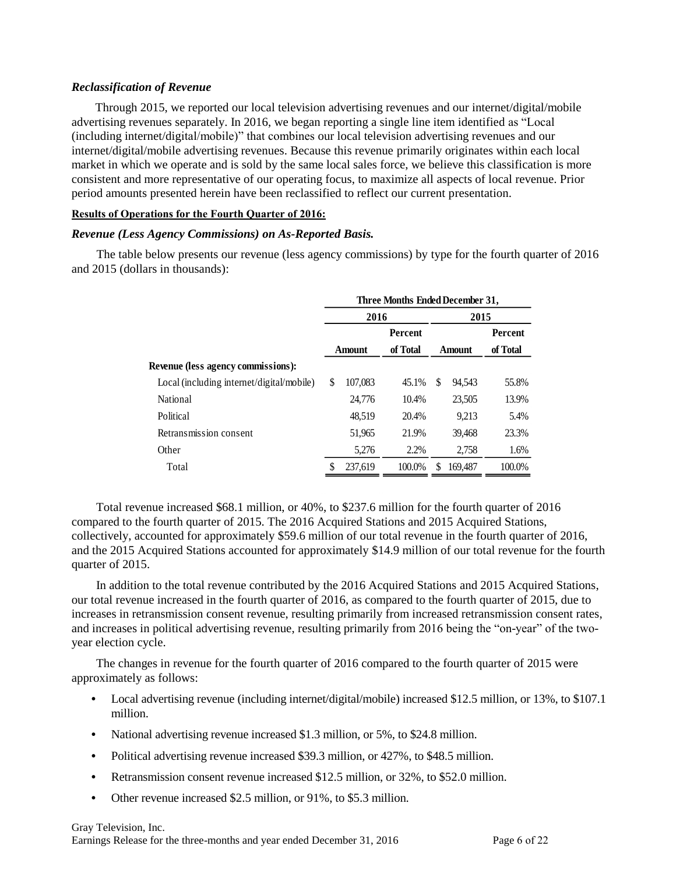#### *Reclassification of Revenue*

Through 2015, we reported our local television advertising revenues and our internet/digital/mobile advertising revenues separately. In 2016, we began reporting a single line item identified as "Local (including internet/digital/mobile)" that combines our local television advertising revenues and our internet/digital/mobile advertising revenues. Because this revenue primarily originates within each local market in which we operate and is sold by the same local sales force, we believe this classification is more consistent and more representative of our operating focus, to maximize all aspects of local revenue. Prior period amounts presented herein have been reclassified to reflect our current presentation.

#### **Results of Operations for the Fourth Quarter of 2016:**

#### *Revenue (Less Agency Commissions) on As-Reported Basis.*

The table below presents our revenue (less agency commissions) by type for the fourth quarter of 2016 and 2015 (dollars in thousands):

|                                           | Three Months Ended December 31, |                |          |               |         |                |  |  |  |
|-------------------------------------------|---------------------------------|----------------|----------|---------------|---------|----------------|--|--|--|
|                                           |                                 | 2015<br>2016   |          |               |         |                |  |  |  |
|                                           |                                 | <b>Percent</b> |          |               |         | <b>Percent</b> |  |  |  |
|                                           |                                 | <b>Amount</b>  | of Total | <b>Amount</b> |         | of Total       |  |  |  |
| <b>Revenue (less agency commissions):</b> |                                 |                |          |               |         |                |  |  |  |
| Local (including internet/digital/mobile) | \$                              | 107,083        | 45.1%    | \$            | 94.543  | 55.8%          |  |  |  |
| National                                  |                                 | 24,776         | 10.4%    |               | 23,505  | 13.9%          |  |  |  |
| Political                                 |                                 | 48.519         | 20.4%    |               | 9.213   | 5.4%           |  |  |  |
| Retransmission consent                    |                                 | 51,965         | 21.9%    |               | 39.468  | 23.3%          |  |  |  |
| Other                                     |                                 | 5,276          | 2.2%     |               | 2,758   | 1.6%           |  |  |  |
| Total                                     |                                 | 237,619        | 100.0%   | S             | 169.487 | 100.0%         |  |  |  |

Total revenue increased \$68.1 million, or 40%, to \$237.6 million for the fourth quarter of 2016 compared to the fourth quarter of 2015. The 2016 Acquired Stations and 2015 Acquired Stations, collectively, accounted for approximately \$59.6 million of our total revenue in the fourth quarter of 2016, and the 2015 Acquired Stations accounted for approximately \$14.9 million of our total revenue for the fourth quarter of 2015.

In addition to the total revenue contributed by the 2016 Acquired Stations and 2015 Acquired Stations, our total revenue increased in the fourth quarter of 2016, as compared to the fourth quarter of 2015, due to increases in retransmission consent revenue, resulting primarily from increased retransmission consent rates, and increases in political advertising revenue, resulting primarily from 2016 being the "on-year" of the twoyear election cycle.

The changes in revenue for the fourth quarter of 2016 compared to the fourth quarter of 2015 were approximately as follows:

- Local advertising revenue (including internet/digital/mobile) increased \$12.5 million, or 13%, to \$107.1 million.
- **•** National advertising revenue increased \$1.3 million, or 5%, to \$24.8 million.
- **•** Political advertising revenue increased \$39.3 million, or 427%, to \$48.5 million.
- **•** Retransmission consent revenue increased \$12.5 million, or 32%, to \$52.0 million.
- **•** Other revenue increased \$2.5 million, or 91%, to \$5.3 million.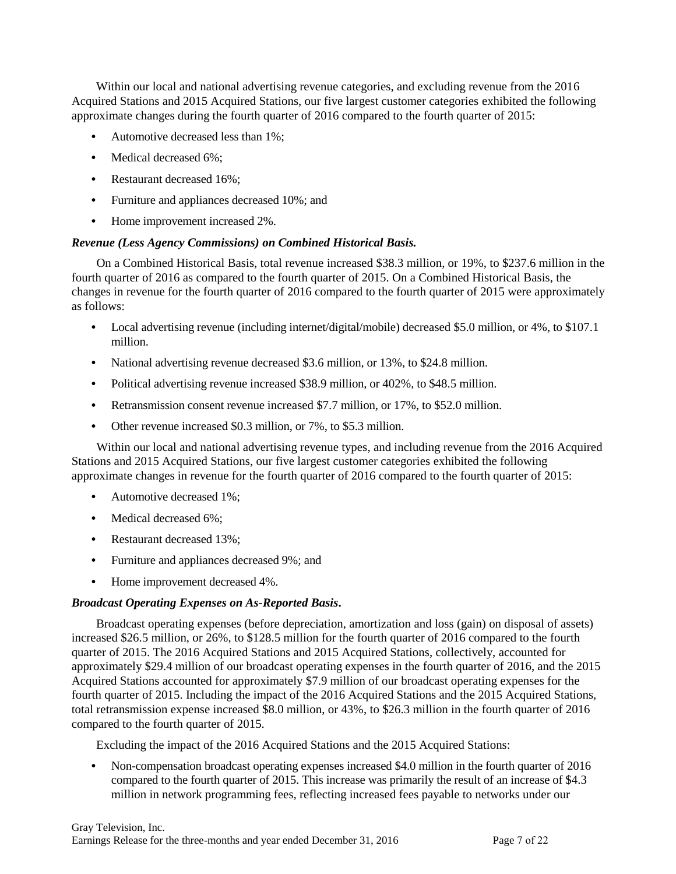Within our local and national advertising revenue categories, and excluding revenue from the 2016 Acquired Stations and 2015 Acquired Stations, our five largest customer categories exhibited the following approximate changes during the fourth quarter of 2016 compared to the fourth quarter of 2015:

- **•** Automotive decreased less than 1%;
- Medical decreased 6%;
- **•** Restaurant decreased 16%;
- **•** Furniture and appliances decreased 10%; and
- Home improvement increased 2%.

# *Revenue (Less Agency Commissions) on Combined Historical Basis.*

On a Combined Historical Basis, total revenue increased \$38.3 million, or 19%, to \$237.6 million in the fourth quarter of 2016 as compared to the fourth quarter of 2015. On a Combined Historical Basis, the changes in revenue for the fourth quarter of 2016 compared to the fourth quarter of 2015 were approximately as follows:

- Local advertising revenue (including internet/digital/mobile) decreased \$5.0 million, or 4%, to \$107.1 million.
- **•** National advertising revenue decreased \$3.6 million, or 13%, to \$24.8 million.
- **•** Political advertising revenue increased \$38.9 million, or 402%, to \$48.5 million.
- **•** Retransmission consent revenue increased \$7.7 million, or 17%, to \$52.0 million.
- **•** Other revenue increased \$0.3 million, or 7%, to \$5.3 million.

Within our local and national advertising revenue types, and including revenue from the 2016 Acquired Stations and 2015 Acquired Stations, our five largest customer categories exhibited the following approximate changes in revenue for the fourth quarter of 2016 compared to the fourth quarter of 2015:

- **•** Automotive decreased 1%;
- **•** Medical decreased 6%;
- **•** Restaurant decreased 13%;
- **•** Furniture and appliances decreased 9%; and
- **•** Home improvement decreased 4%.

## *Broadcast Operating Expenses on As-Reported Basis***.**

Broadcast operating expenses (before depreciation, amortization and loss (gain) on disposal of assets) increased \$26.5 million, or 26%, to \$128.5 million for the fourth quarter of 2016 compared to the fourth quarter of 2015. The 2016 Acquired Stations and 2015 Acquired Stations, collectively, accounted for approximately \$29.4 million of our broadcast operating expenses in the fourth quarter of 2016, and the 2015 Acquired Stations accounted for approximately \$7.9 million of our broadcast operating expenses for the fourth quarter of 2015. Including the impact of the 2016 Acquired Stations and the 2015 Acquired Stations, total retransmission expense increased \$8.0 million, or 43%, to \$26.3 million in the fourth quarter of 2016 compared to the fourth quarter of 2015.

Excluding the impact of the 2016 Acquired Stations and the 2015 Acquired Stations:

**•** Non-compensation broadcast operating expenses increased \$4.0 million in the fourth quarter of 2016 compared to the fourth quarter of 2015. This increase was primarily the result of an increase of \$4.3 million in network programming fees, reflecting increased fees payable to networks under our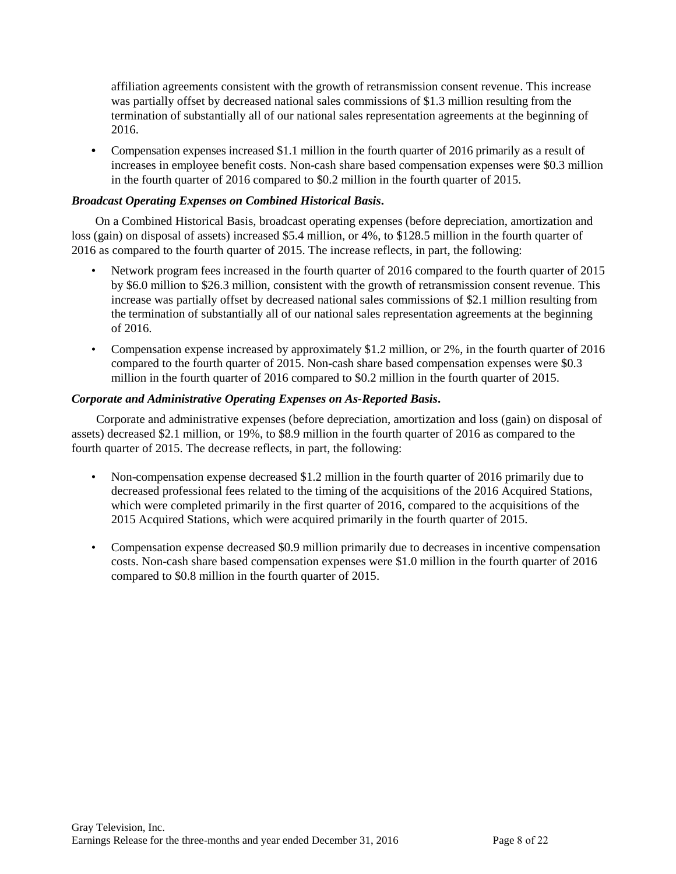affiliation agreements consistent with the growth of retransmission consent revenue. This increase was partially offset by decreased national sales commissions of \$1.3 million resulting from the termination of substantially all of our national sales representation agreements at the beginning of 2016.

• Compensation expenses increased \$1.1 million in the fourth quarter of 2016 primarily as a result of increases in employee benefit costs. Non-cash share based compensation expenses were \$0.3 million in the fourth quarter of 2016 compared to \$0.2 million in the fourth quarter of 2015.

# *Broadcast Operating Expenses on Combined Historical Basis***.**

On a Combined Historical Basis, broadcast operating expenses (before depreciation, amortization and loss (gain) on disposal of assets) increased \$5.4 million, or 4%, to \$128.5 million in the fourth quarter of 2016 as compared to the fourth quarter of 2015. The increase reflects, in part, the following:

- Network program fees increased in the fourth quarter of 2016 compared to the fourth quarter of 2015 by \$6.0 million to \$26.3 million, consistent with the growth of retransmission consent revenue. This increase was partially offset by decreased national sales commissions of \$2.1 million resulting from the termination of substantially all of our national sales representation agreements at the beginning of 2016.
- Compensation expense increased by approximately \$1.2 million, or 2%, in the fourth quarter of 2016 compared to the fourth quarter of 2015. Non-cash share based compensation expenses were \$0.3 million in the fourth quarter of 2016 compared to \$0.2 million in the fourth quarter of 2015.

# *Corporate and Administrative Operating Expenses on As-Reported Basis***.**

Corporate and administrative expenses (before depreciation, amortization and loss (gain) on disposal of assets) decreased \$2.1 million, or 19%, to \$8.9 million in the fourth quarter of 2016 as compared to the fourth quarter of 2015. The decrease reflects, in part, the following:

- Non-compensation expense decreased \$1.2 million in the fourth quarter of 2016 primarily due to decreased professional fees related to the timing of the acquisitions of the 2016 Acquired Stations, which were completed primarily in the first quarter of 2016, compared to the acquisitions of the 2015 Acquired Stations, which were acquired primarily in the fourth quarter of 2015.
- Compensation expense decreased \$0.9 million primarily due to decreases in incentive compensation costs. Non-cash share based compensation expenses were \$1.0 million in the fourth quarter of 2016 compared to \$0.8 million in the fourth quarter of 2015.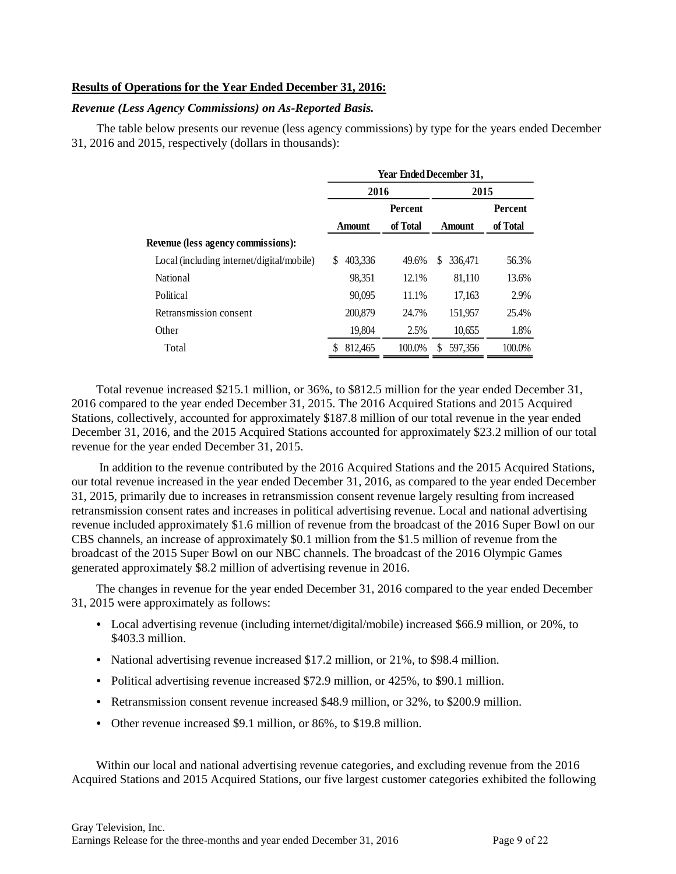#### **Results of Operations for the Year Ended December 31, 2016:**

#### *Revenue (Less Agency Commissions) on As-Reported Basis.*

The table below presents our revenue (less agency commissions) by type for the years ended December 31, 2016 and 2015, respectively (dollars in thousands):

|                                           |               |                | <b>Year Ended December 31,</b> |                |
|-------------------------------------------|---------------|----------------|--------------------------------|----------------|
|                                           | 2016          |                | 2015                           |                |
|                                           |               | <b>Percent</b> |                                | <b>Percent</b> |
|                                           | <b>Amount</b> | of Total       | <b>Amount</b>                  | of Total       |
| Revenue (less agency commissions):        |               |                |                                |                |
| Local (including internet/digital/mobile) | \$<br>403.336 | 49.6%          | \$<br>336,471                  | 56.3%          |
| National                                  | 98.351        | 12.1%          | 81,110                         | 13.6%          |
| Political                                 | 90.095        | 11.1%          | 17,163                         | 2.9%           |
| Retransmission consent                    | 200,879       | 24.7%          | 151.957                        | 25.4%          |
| Other                                     | 19,804        | 2.5%           | 10,655                         | 1.8%           |
| Total                                     | 812,465<br>\$ | 100.0%         | S<br>597.356                   | 100.0%         |
|                                           |               |                |                                |                |

Total revenue increased \$215.1 million, or 36%, to \$812.5 million for the year ended December 31, 2016 compared to the year ended December 31, 2015. The 2016 Acquired Stations and 2015 Acquired Stations, collectively, accounted for approximately \$187.8 million of our total revenue in the year ended December 31, 2016, and the 2015 Acquired Stations accounted for approximately \$23.2 million of our total revenue for the year ended December 31, 2015.

In addition to the revenue contributed by the 2016 Acquired Stations and the 2015 Acquired Stations, our total revenue increased in the year ended December 31, 2016, as compared to the year ended December 31, 2015, primarily due to increases in retransmission consent revenue largely resulting from increased retransmission consent rates and increases in political advertising revenue. Local and national advertising revenue included approximately \$1.6 million of revenue from the broadcast of the 2016 Super Bowl on our CBS channels, an increase of approximately \$0.1 million from the \$1.5 million of revenue from the broadcast of the 2015 Super Bowl on our NBC channels. The broadcast of the 2016 Olympic Games generated approximately \$8.2 million of advertising revenue in 2016.

The changes in revenue for the year ended December 31, 2016 compared to the year ended December 31, 2015 were approximately as follows:

- **•** Local advertising revenue (including internet/digital/mobile) increased \$66.9 million, or 20%, to \$403.3 million.
- **•** National advertising revenue increased \$17.2 million, or 21%, to \$98.4 million.
- **•** Political advertising revenue increased \$72.9 million, or 425%, to \$90.1 million.
- **•** Retransmission consent revenue increased \$48.9 million, or 32%, to \$200.9 million.
- **•** Other revenue increased \$9.1 million, or 86%, to \$19.8 million.

Within our local and national advertising revenue categories, and excluding revenue from the 2016 Acquired Stations and 2015 Acquired Stations, our five largest customer categories exhibited the following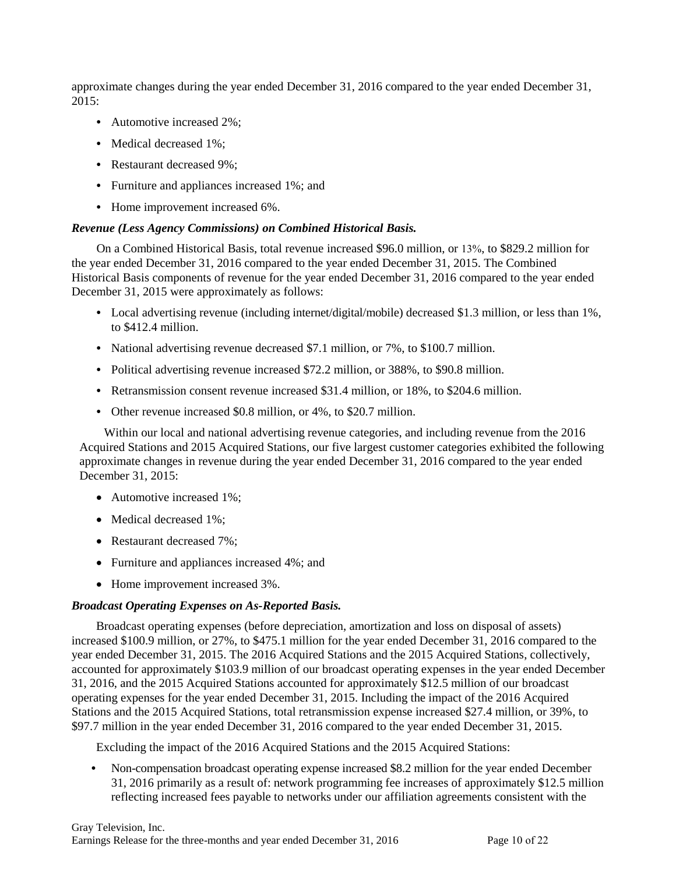approximate changes during the year ended December 31, 2016 compared to the year ended December 31, 2015:

- **•** Automotive increased 2%;
- **•** Medical decreased 1%;
- **•** Restaurant decreased 9%;
- **•** Furniture and appliances increased 1%; and
- **•** Home improvement increased 6%.

## *Revenue (Less Agency Commissions) on Combined Historical Basis.*

On a Combined Historical Basis, total revenue increased \$96.0 million, or 13%, to \$829.2 million for the year ended December 31, 2016 compared to the year ended December 31, 2015. The Combined Historical Basis components of revenue for the year ended December 31, 2016 compared to the year ended December 31, 2015 were approximately as follows:

- **•** Local advertising revenue (including internet/digital/mobile) decreased \$1.3 million, or less than 1%, to \$412.4 million.
- **•** National advertising revenue decreased \$7.1 million, or 7%, to \$100.7 million.
- **•** Political advertising revenue increased \$72.2 million, or 388%, to \$90.8 million.
- **•** Retransmission consent revenue increased \$31.4 million, or 18%, to \$204.6 million.
- **•** Other revenue increased \$0.8 million, or 4%, to \$20.7 million.

Within our local and national advertising revenue categories, and including revenue from the 2016 Acquired Stations and 2015 Acquired Stations, our five largest customer categories exhibited the following approximate changes in revenue during the year ended December 31, 2016 compared to the year ended December 31, 2015:

- Automotive increased 1%;
- Medical decreased 1%;
- Restaurant decreased 7%;
- Furniture and appliances increased 4%; and
- Home improvement increased 3%.

## *Broadcast Operating Expenses on As-Reported Basis.*

Broadcast operating expenses (before depreciation, amortization and loss on disposal of assets) increased \$100.9 million, or 27%, to \$475.1 million for the year ended December 31, 2016 compared to the year ended December 31, 2015. The 2016 Acquired Stations and the 2015 Acquired Stations, collectively, accounted for approximately \$103.9 million of our broadcast operating expenses in the year ended December 31, 2016, and the 2015 Acquired Stations accounted for approximately \$12.5 million of our broadcast operating expenses for the year ended December 31, 2015. Including the impact of the 2016 Acquired Stations and the 2015 Acquired Stations, total retransmission expense increased \$27.4 million, or 39%, to \$97.7 million in the year ended December 31, 2016 compared to the year ended December 31, 2015.

Excluding the impact of the 2016 Acquired Stations and the 2015 Acquired Stations:

**•** Non-compensation broadcast operating expense increased \$8.2 million for the year ended December 31, 2016 primarily as a result of: network programming fee increases of approximately \$12.5 million reflecting increased fees payable to networks under our affiliation agreements consistent with the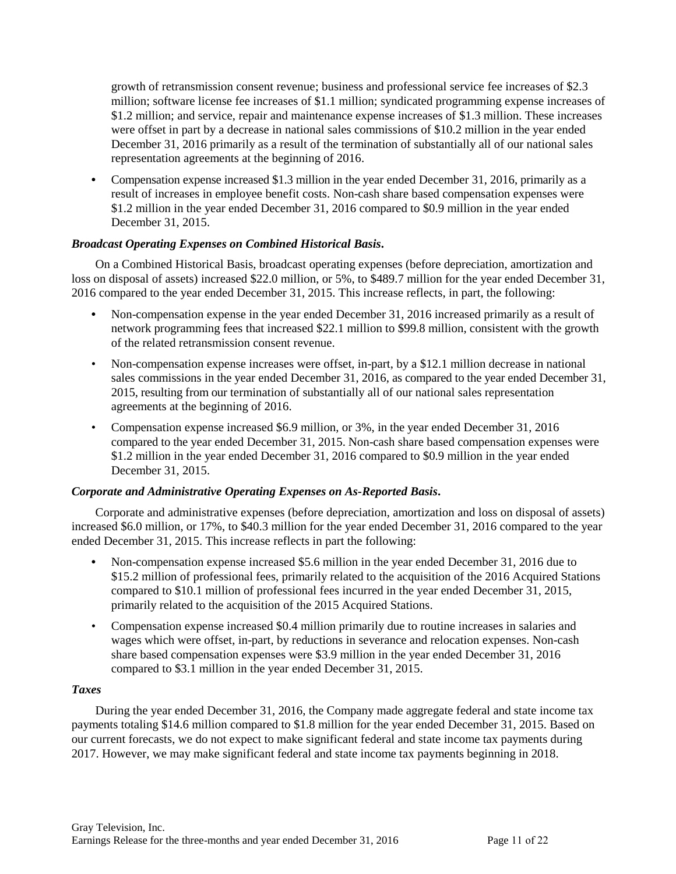growth of retransmission consent revenue; business and professional service fee increases of \$2.3 million; software license fee increases of \$1.1 million; syndicated programming expense increases of \$1.2 million; and service, repair and maintenance expense increases of \$1.3 million. These increases were offset in part by a decrease in national sales commissions of \$10.2 million in the year ended December 31, 2016 primarily as a result of the termination of substantially all of our national sales representation agreements at the beginning of 2016.

**•** Compensation expense increased \$1.3 million in the year ended December 31, 2016, primarily as a result of increases in employee benefit costs. Non-cash share based compensation expenses were \$1.2 million in the year ended December 31, 2016 compared to \$0.9 million in the year ended December 31, 2015.

# *Broadcast Operating Expenses on Combined Historical Basis***.**

On a Combined Historical Basis, broadcast operating expenses (before depreciation, amortization and loss on disposal of assets) increased \$22.0 million, or 5%, to \$489.7 million for the year ended December 31, 2016 compared to the year ended December 31, 2015. This increase reflects, in part, the following:

- **•** Non-compensation expense in the year ended December 31, 2016 increased primarily as a result of network programming fees that increased \$22.1 million to \$99.8 million, consistent with the growth of the related retransmission consent revenue.
- Non-compensation expense increases were offset, in-part, by a \$12.1 million decrease in national sales commissions in the year ended December 31, 2016, as compared to the year ended December 31, 2015, resulting from our termination of substantially all of our national sales representation agreements at the beginning of 2016.
- Compensation expense increased \$6.9 million, or 3%, in the year ended December 31, 2016 compared to the year ended December 31, 2015. Non-cash share based compensation expenses were \$1.2 million in the year ended December 31, 2016 compared to \$0.9 million in the year ended December 31, 2015.

## *Corporate and Administrative Operating Expenses on As-Reported Basis***.**

Corporate and administrative expenses (before depreciation, amortization and loss on disposal of assets) increased \$6.0 million, or 17%, to \$40.3 million for the year ended December 31, 2016 compared to the year ended December 31, 2015. This increase reflects in part the following:

- **•** Non-compensation expense increased \$5.6 million in the year ended December 31, 2016 due to \$15.2 million of professional fees, primarily related to the acquisition of the 2016 Acquired Stations compared to \$10.1 million of professional fees incurred in the year ended December 31, 2015, primarily related to the acquisition of the 2015 Acquired Stations.
- Compensation expense increased \$0.4 million primarily due to routine increases in salaries and wages which were offset, in-part, by reductions in severance and relocation expenses. Non-cash share based compensation expenses were \$3.9 million in the year ended December 31, 2016 compared to \$3.1 million in the year ended December 31, 2015.

## *Taxes*

During the year ended December 31, 2016, the Company made aggregate federal and state income tax payments totaling \$14.6 million compared to \$1.8 million for the year ended December 31, 2015. Based on our current forecasts, we do not expect to make significant federal and state income tax payments during 2017. However, we may make significant federal and state income tax payments beginning in 2018.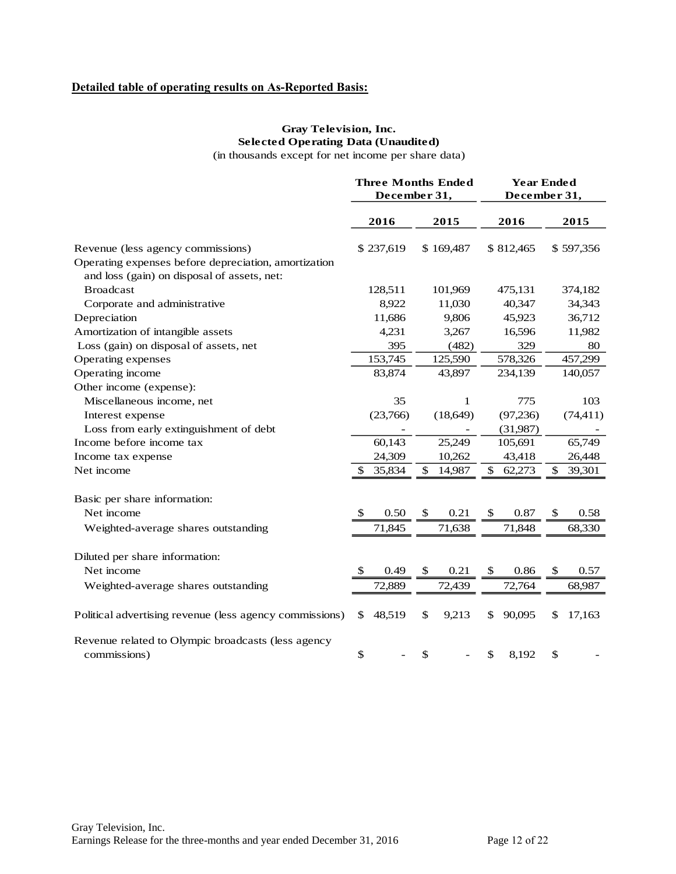# **Detailed table of operating results on As-Reported Basis:**

# **Gray Television, Inc. Selected Operating Data (Unaudited)**

(in thousands except for net income per share data)

|                                                         |              | <b>Three Months Ended</b> |               |           |              | <b>Year Ended</b> |    |           |
|---------------------------------------------------------|--------------|---------------------------|---------------|-----------|--------------|-------------------|----|-----------|
|                                                         | December 31, |                           |               |           | December 31, |                   |    |           |
|                                                         |              |                           |               |           |              |                   |    |           |
|                                                         |              | 2016                      |               | 2015      |              | 2016              |    | 2015      |
| Revenue (less agency commissions)                       |              | \$237,619                 |               | \$169,487 |              | \$812,465         |    | \$597,356 |
| Operating expenses before depreciation, amortization    |              |                           |               |           |              |                   |    |           |
| and loss (gain) on disposal of assets, net:             |              |                           |               |           |              |                   |    |           |
| <b>Broadcast</b>                                        |              | 128,511                   |               | 101,969   |              | 475,131           |    | 374,182   |
| Corporate and administrative                            |              | 8,922                     |               | 11,030    |              | 40,347            |    | 34,343    |
| Depreciation                                            |              | 11,686                    |               | 9,806     |              | 45,923            |    | 36,712    |
| Amortization of intangible assets                       |              | 4,231                     |               | 3,267     |              | 16,596            |    | 11,982    |
| Loss (gain) on disposal of assets, net                  |              | 395                       |               | (482)     |              | 329               |    | 80        |
| Operating expenses                                      |              | 153,745                   |               | 125,590   |              | 578,326           |    | 457,299   |
| Operating income                                        |              | 83,874                    |               | 43,897    |              | 234,139           |    | 140,057   |
| Other income (expense):                                 |              |                           |               |           |              |                   |    |           |
| Miscellaneous income, net                               |              | 35                        |               | 1         |              | 775               |    | 103       |
| Interest expense                                        |              | (23,766)                  |               | (18, 649) |              | (97,236)          |    | (74, 411) |
| Loss from early extinguishment of debt                  |              |                           |               |           |              | (31,987)          |    |           |
| Income before income tax                                |              | 60,143                    |               | 25,249    |              | 105,691           |    | 65,749    |
| Income tax expense                                      |              | 24,309                    |               | 10,262    |              | 43,418            |    | 26,448    |
| Net income                                              | \$           | 35,834                    | \$            | 14,987    | \$           | 62,273            | \$ | 39,301    |
| Basic per share information:                            |              |                           |               |           |              |                   |    |           |
| Net income                                              |              | 0.50                      | <sup>\$</sup> | 0.21      | \$           | 0.87              | \$ | 0.58      |
|                                                         |              |                           |               |           |              | 71,848            |    |           |
| Weighted-average shares outstanding                     |              | 71,845                    |               | 71,638    |              |                   |    | 68,330    |
| Diluted per share information:                          |              |                           |               |           |              |                   |    |           |
| Net income                                              | \$.          | 0.49                      | $\mathbb{S}$  | 0.21      | \$           | 0.86              | \$ | 0.57      |
| Weighted-average shares outstanding                     |              | 72,889                    |               | 72,439    |              | 72,764            |    | 68,987    |
| Political advertising revenue (less agency commissions) | \$           | 48,519                    | \$            | 9,213     | \$           | 90,095            | \$ | 17,163    |
| Revenue related to Olympic broadcasts (less agency      |              |                           |               |           |              |                   |    |           |
| commissions)                                            | $\$$         |                           | \$            |           | \$           | 8,192             | \$ |           |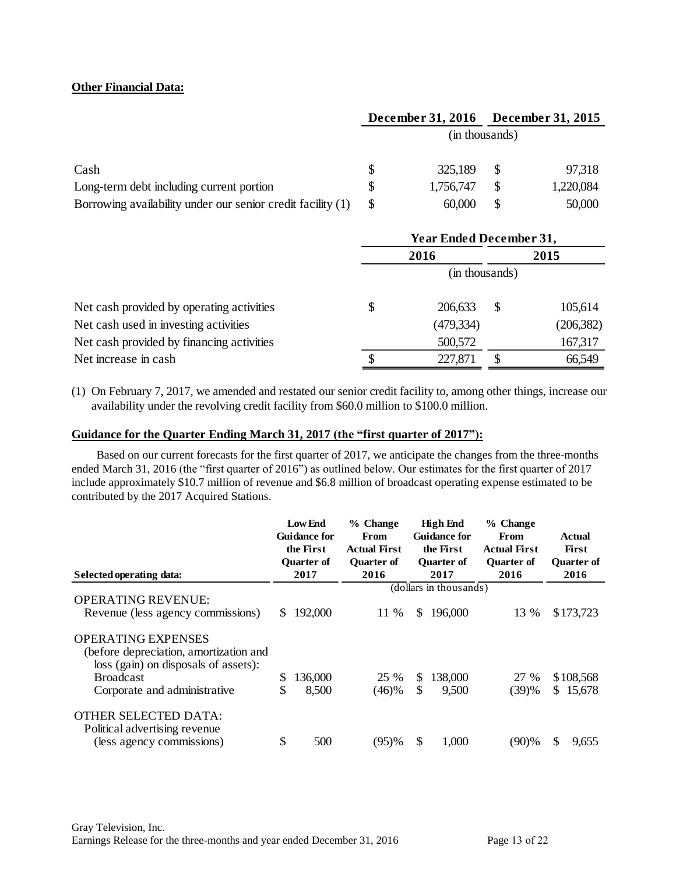## **Other Financial Data:**

|                                                             |   | December 31, 2016 December 31, 2015 |           |
|-------------------------------------------------------------|---|-------------------------------------|-----------|
|                                                             |   | (in thousands)                      |           |
| Cash                                                        | S | 325,189                             | 97,318    |
| Long-term debt including current portion                    |   | 1,756,747                           | 1,220,084 |
| Borrowing availability under our senior credit facility (1) |   | 60,000                              | 50,000    |

|                                           | <b>Year Ended December 31,</b> |            |    |            |  |  |  |
|-------------------------------------------|--------------------------------|------------|----|------------|--|--|--|
|                                           | 2016                           |            |    | 2015       |  |  |  |
|                                           | (in thousands)                 |            |    |            |  |  |  |
| Net cash provided by operating activities | \$                             | 206,633    | \$ | 105,614    |  |  |  |
| Net cash used in investing activities     |                                | (479, 334) |    | (206, 382) |  |  |  |
| Net cash provided by financing activities |                                | 500,572    |    | 167,317    |  |  |  |
| Net increase in cash                      | <b>S</b>                       | 227,871    | \$ | 66,549     |  |  |  |

(1) On February 7, 2017, we amended and restated our senior credit facility to, among other things, increase our availability under the revolving credit facility from \$60.0 million to \$100.0 million.

#### **Guidance for the Quarter Ending March 31, 2017 (the "first quarter of 2017"):**

Based on our current forecasts for the first quarter of 2017, we anticipate the changes from the three-months ended March 31, 2016 (the "first quarter of 2016") as outlined below. Our estimates for the first quarter of 2017 include approximately \$10.7 million of revenue and \$6.8 million of broadcast operating expense estimated to be contributed by the 2017 Acquired Stations.

|                                                                                                             | <b>Low End</b><br><b>Guidance for</b><br>the First<br><b>Ouarter of</b> |         | % Change<br>From<br><b>Actual First</b><br><b>Ouarter of</b> |     | <b>High End</b><br><b>Guidance for</b><br>the First<br><b>Ouarter of</b> | % Change<br>From<br><b>Actual First</b><br><b>Ouarter of</b> | Actual<br>First<br><b>Quarter of</b> |  |  |
|-------------------------------------------------------------------------------------------------------------|-------------------------------------------------------------------------|---------|--------------------------------------------------------------|-----|--------------------------------------------------------------------------|--------------------------------------------------------------|--------------------------------------|--|--|
| Selected operating data:                                                                                    | 2017                                                                    |         | 2016                                                         |     | 2017                                                                     | 2016                                                         | 2016                                 |  |  |
|                                                                                                             |                                                                         |         | (dollars in thousands)                                       |     |                                                                          |                                                              |                                      |  |  |
| <b>OPERATING REVENUE:</b><br>Revenue (less agency commissions)                                              | \$.                                                                     | 192,000 | 11 %                                                         | \$. | 196,000                                                                  | 13 %                                                         | \$173,723                            |  |  |
| <b>OPERATING EXPENSES</b><br>(before depreciation, amortization and<br>loss (gain) on disposals of assets): |                                                                         |         |                                                              |     |                                                                          |                                                              |                                      |  |  |
| <b>Broadcast</b>                                                                                            | \$                                                                      | 136,000 | 25 %                                                         | S.  | 138,000                                                                  | 27 %                                                         | \$108,568                            |  |  |
| Corporate and administrative                                                                                | \$                                                                      | 8,500   | (46)%                                                        | \$  | 9,500                                                                    | (39)%                                                        | \$15,678                             |  |  |
| OTHER SELECTED DATA:<br>Political advertising revenue<br>(less agency commissions)                          | \$                                                                      | 500     | (95)%                                                        | S   | 1,000                                                                    | (90)%                                                        | \$<br>9,655                          |  |  |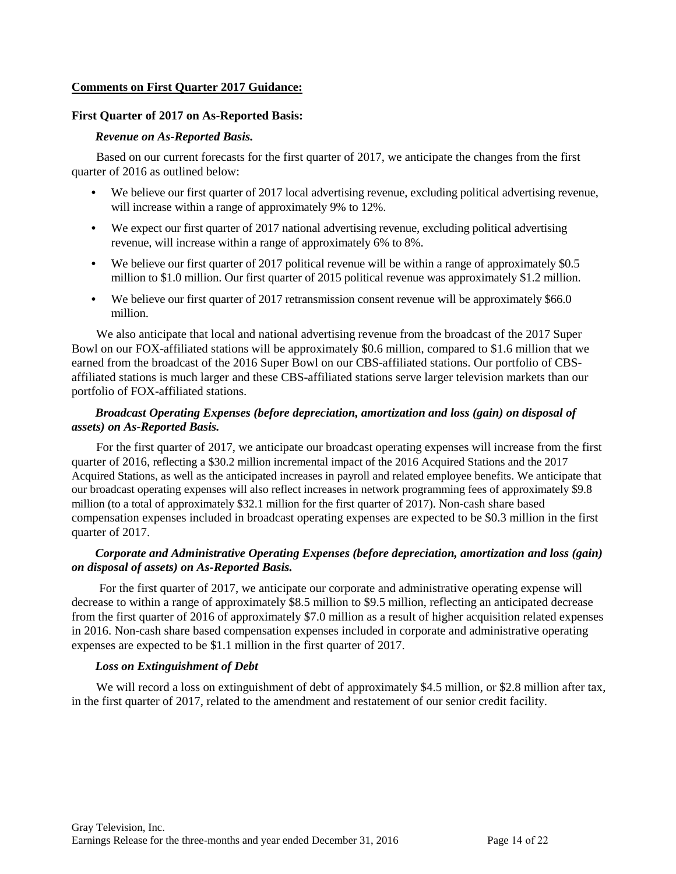#### **Comments on First Quarter 2017 Guidance:**

#### **First Quarter of 2017 on As-Reported Basis:**

#### *Revenue on As-Reported Basis.*

Based on our current forecasts for the first quarter of 2017, we anticipate the changes from the first quarter of 2016 as outlined below:

- **•** We believe our first quarter of 2017 local advertising revenue, excluding political advertising revenue, will increase within a range of approximately 9% to 12%.
- We expect our first quarter of 2017 national advertising revenue, excluding political advertising revenue, will increase within a range of approximately 6% to 8%.
- We believe our first quarter of 2017 political revenue will be within a range of approximately \$0.5 million to \$1.0 million. Our first quarter of 2015 political revenue was approximately \$1.2 million.
- We believe our first quarter of 2017 retransmission consent revenue will be approximately \$66.0 million.

We also anticipate that local and national advertising revenue from the broadcast of the 2017 Super Bowl on our FOX-affiliated stations will be approximately \$0.6 million, compared to \$1.6 million that we earned from the broadcast of the 2016 Super Bowl on our CBS-affiliated stations. Our portfolio of CBSaffiliated stations is much larger and these CBS-affiliated stations serve larger television markets than our portfolio of FOX-affiliated stations.

# *Broadcast Operating Expenses (before depreciation, amortization and loss (gain) on disposal of assets) on As-Reported Basis.*

For the first quarter of 2017, we anticipate our broadcast operating expenses will increase from the first quarter of 2016, reflecting a \$30.2 million incremental impact of the 2016 Acquired Stations and the 2017 Acquired Stations, as well as the anticipated increases in payroll and related employee benefits. We anticipate that our broadcast operating expenses will also reflect increases in network programming fees of approximately \$9.8 million (to a total of approximately \$32.1 million for the first quarter of 2017). Non-cash share based compensation expenses included in broadcast operating expenses are expected to be \$0.3 million in the first quarter of 2017.

# *Corporate and Administrative Operating Expenses (before depreciation, amortization and loss (gain) on disposal of assets) on As-Reported Basis.*

For the first quarter of 2017, we anticipate our corporate and administrative operating expense will decrease to within a range of approximately \$8.5 million to \$9.5 million, reflecting an anticipated decrease from the first quarter of 2016 of approximately \$7.0 million as a result of higher acquisition related expenses in 2016. Non-cash share based compensation expenses included in corporate and administrative operating expenses are expected to be \$1.1 million in the first quarter of 2017.

## *Loss on Extinguishment of Debt*

We will record a loss on extinguishment of debt of approximately \$4.5 million, or \$2.8 million after tax, in the first quarter of 2017, related to the amendment and restatement of our senior credit facility.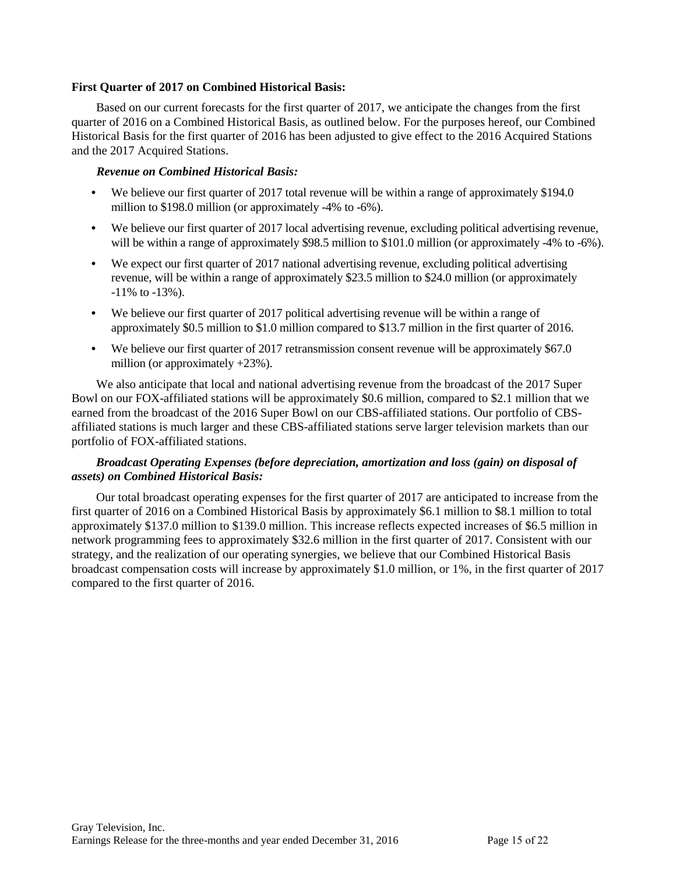## **First Quarter of 2017 on Combined Historical Basis:**

Based on our current forecasts for the first quarter of 2017, we anticipate the changes from the first quarter of 2016 on a Combined Historical Basis, as outlined below. For the purposes hereof, our Combined Historical Basis for the first quarter of 2016 has been adjusted to give effect to the 2016 Acquired Stations and the 2017 Acquired Stations.

#### *Revenue on Combined Historical Basis:*

- We believe our first quarter of 2017 total revenue will be within a range of approximately \$194.0 million to \$198.0 million (or approximately -4% to -6%).
- **•** We believe our first quarter of 2017 local advertising revenue, excluding political advertising revenue, will be within a range of approximately \$98.5 million to \$101.0 million (or approximately -4% to -6%).
- We expect our first quarter of 2017 national advertising revenue, excluding political advertising revenue, will be within a range of approximately \$23.5 million to \$24.0 million (or approximately -11% to -13%).
- **•** We believe our first quarter of 2017 political advertising revenue will be within a range of approximately \$0.5 million to \$1.0 million compared to \$13.7 million in the first quarter of 2016.
- We believe our first quarter of 2017 retransmission consent revenue will be approximately \$67.0 million (or approximately +23%).

We also anticipate that local and national advertising revenue from the broadcast of the 2017 Super Bowl on our FOX-affiliated stations will be approximately \$0.6 million, compared to \$2.1 million that we earned from the broadcast of the 2016 Super Bowl on our CBS-affiliated stations. Our portfolio of CBSaffiliated stations is much larger and these CBS-affiliated stations serve larger television markets than our portfolio of FOX-affiliated stations.

## *Broadcast Operating Expenses (before depreciation, amortization and loss (gain) on disposal of assets) on Combined Historical Basis:*

Our total broadcast operating expenses for the first quarter of 2017 are anticipated to increase from the first quarter of 2016 on a Combined Historical Basis by approximately \$6.1 million to \$8.1 million to total approximately \$137.0 million to \$139.0 million. This increase reflects expected increases of \$6.5 million in network programming fees to approximately \$32.6 million in the first quarter of 2017. Consistent with our strategy, and the realization of our operating synergies, we believe that our Combined Historical Basis broadcast compensation costs will increase by approximately \$1.0 million, or 1%, in the first quarter of 2017 compared to the first quarter of 2016.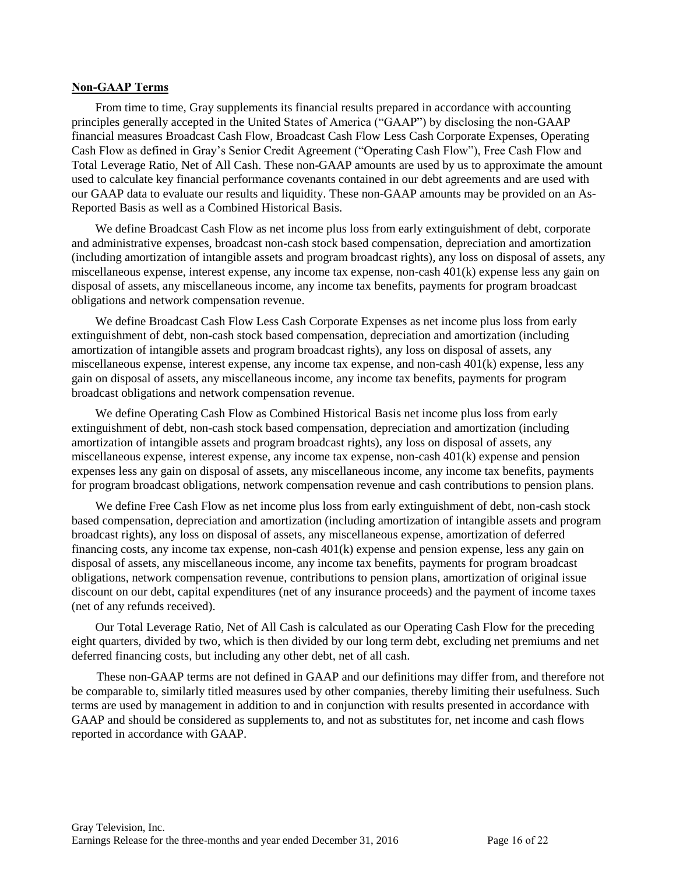#### **Non-GAAP Terms**

From time to time, Gray supplements its financial results prepared in accordance with accounting principles generally accepted in the United States of America ("GAAP") by disclosing the non-GAAP financial measures Broadcast Cash Flow, Broadcast Cash Flow Less Cash Corporate Expenses, Operating Cash Flow as defined in Gray's Senior Credit Agreement ("Operating Cash Flow"), Free Cash Flow and Total Leverage Ratio, Net of All Cash. These non-GAAP amounts are used by us to approximate the amount used to calculate key financial performance covenants contained in our debt agreements and are used with our GAAP data to evaluate our results and liquidity. These non-GAAP amounts may be provided on an As-Reported Basis as well as a Combined Historical Basis.

We define Broadcast Cash Flow as net income plus loss from early extinguishment of debt, corporate and administrative expenses, broadcast non-cash stock based compensation, depreciation and amortization (including amortization of intangible assets and program broadcast rights), any loss on disposal of assets, any miscellaneous expense, interest expense, any income tax expense, non-cash 401(k) expense less any gain on disposal of assets, any miscellaneous income, any income tax benefits, payments for program broadcast obligations and network compensation revenue.

We define Broadcast Cash Flow Less Cash Corporate Expenses as net income plus loss from early extinguishment of debt, non-cash stock based compensation, depreciation and amortization (including amortization of intangible assets and program broadcast rights), any loss on disposal of assets, any miscellaneous expense, interest expense, any income tax expense, and non-cash 401(k) expense, less any gain on disposal of assets, any miscellaneous income, any income tax benefits, payments for program broadcast obligations and network compensation revenue.

We define Operating Cash Flow as Combined Historical Basis net income plus loss from early extinguishment of debt, non-cash stock based compensation, depreciation and amortization (including amortization of intangible assets and program broadcast rights), any loss on disposal of assets, any miscellaneous expense, interest expense, any income tax expense, non-cash 401(k) expense and pension expenses less any gain on disposal of assets, any miscellaneous income, any income tax benefits, payments for program broadcast obligations, network compensation revenue and cash contributions to pension plans.

We define Free Cash Flow as net income plus loss from early extinguishment of debt, non-cash stock based compensation, depreciation and amortization (including amortization of intangible assets and program broadcast rights), any loss on disposal of assets, any miscellaneous expense, amortization of deferred financing costs, any income tax expense, non-cash 401(k) expense and pension expense, less any gain on disposal of assets, any miscellaneous income, any income tax benefits, payments for program broadcast obligations, network compensation revenue, contributions to pension plans, amortization of original issue discount on our debt, capital expenditures (net of any insurance proceeds) and the payment of income taxes (net of any refunds received).

Our Total Leverage Ratio, Net of All Cash is calculated as our Operating Cash Flow for the preceding eight quarters, divided by two, which is then divided by our long term debt, excluding net premiums and net deferred financing costs, but including any other debt, net of all cash.

These non-GAAP terms are not defined in GAAP and our definitions may differ from, and therefore not be comparable to, similarly titled measures used by other companies, thereby limiting their usefulness. Such terms are used by management in addition to and in conjunction with results presented in accordance with GAAP and should be considered as supplements to, and not as substitutes for, net income and cash flows reported in accordance with GAAP.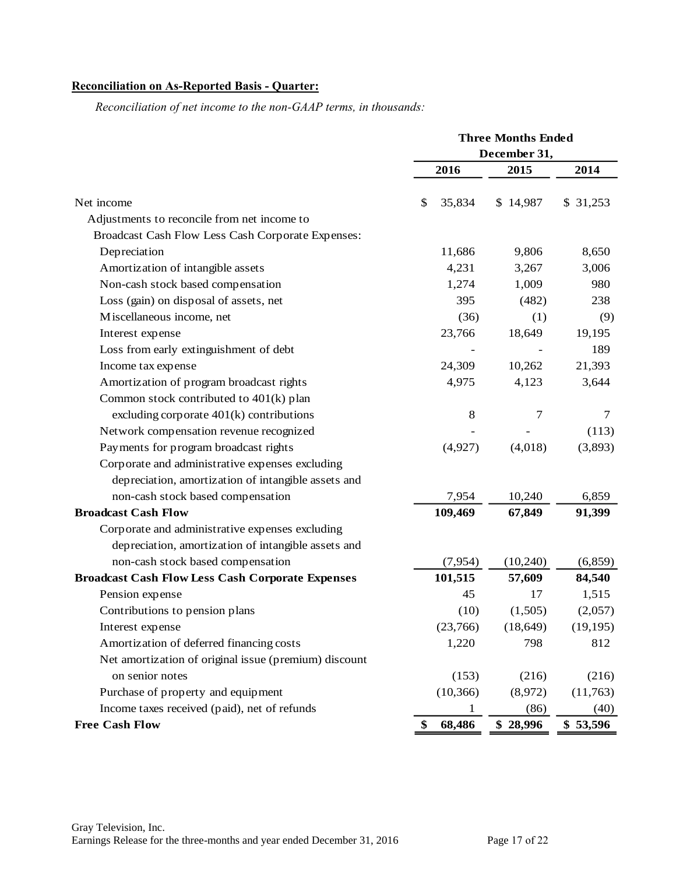# **Reconciliation on As-Reported Basis - Quarter:**

|                                                         | <b>Three Months Ended</b> |              |           |  |  |
|---------------------------------------------------------|---------------------------|--------------|-----------|--|--|
|                                                         |                           | December 31, |           |  |  |
|                                                         | 2016                      | 2015         | 2014      |  |  |
| Net income                                              | \$<br>35,834              | \$14,987     | \$31,253  |  |  |
| Adjustments to reconcile from net income to             |                           |              |           |  |  |
| Broadcast Cash Flow Less Cash Corporate Expenses:       |                           |              |           |  |  |
| Depreciation                                            | 11,686                    | 9,806        | 8,650     |  |  |
| Amortization of intangible assets                       | 4,231                     | 3,267        | 3,006     |  |  |
| Non-cash stock based compensation                       | 1,274                     | 1,009        | 980       |  |  |
| Loss (gain) on disposal of assets, net                  | 395                       | (482)        | 238       |  |  |
| Miscellaneous income, net                               | (36)                      | (1)          | (9)       |  |  |
| Interest expense                                        | 23,766                    | 18,649       | 19,195    |  |  |
| Loss from early extinguishment of debt                  |                           |              | 189       |  |  |
| Income tax expense                                      | 24,309                    | 10,262       | 21,393    |  |  |
| Amortization of program broadcast rights                | 4,975                     | 4,123        | 3,644     |  |  |
| Common stock contributed to 401(k) plan                 |                           |              |           |  |  |
| excluding corporate $401(k)$ contributions              | 8                         | 7            | 7         |  |  |
| Network compensation revenue recognized                 |                           |              | (113)     |  |  |
| Payments for program broadcast rights                   | (4,927)                   | (4,018)      | (3,893)   |  |  |
| Corporate and administrative expenses excluding         |                           |              |           |  |  |
| depreciation, amortization of intangible assets and     |                           |              |           |  |  |
| non-cash stock based compensation                       | 7,954                     | 10,240       | 6,859     |  |  |
| <b>Broadcast Cash Flow</b>                              | 109,469                   | 67,849       | 91,399    |  |  |
| Corporate and administrative expenses excluding         |                           |              |           |  |  |
| depreciation, amortization of intangible assets and     |                           |              |           |  |  |
| non-cash stock based compensation                       | (7,954)                   | (10,240)     | (6, 859)  |  |  |
| <b>Broadcast Cash Flow Less Cash Corporate Expenses</b> | 101,515                   | 57,609       | 84,540    |  |  |
| Pension expense                                         | 45                        | 17           | 1,515     |  |  |
| Contributions to pension plans                          | (10)                      | (1,505)      | (2,057)   |  |  |
| Interest expense                                        | (23,766)                  | (18, 649)    | (19, 195) |  |  |
| Amortization of deferred financing costs                | 1,220                     | 798          | 812       |  |  |
| Net amortization of original issue (premium) discount   |                           |              |           |  |  |
| on senior notes                                         | (153)                     | (216)        | (216)     |  |  |
| Purchase of property and equipment                      | (10, 366)                 | (8,972)      | (11,763)  |  |  |
| Income taxes received (paid), net of refunds            |                           | (86)         | (40)      |  |  |
| <b>Free Cash Flow</b>                                   | 68,486<br>\$              | \$28,996     | \$53,596  |  |  |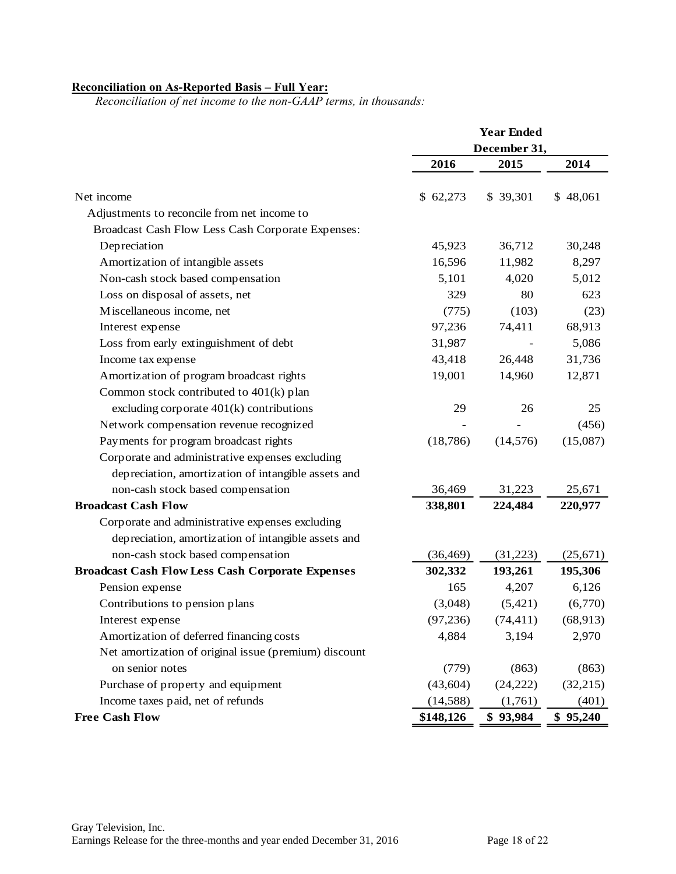## **Reconciliation on As-Reported Basis – Full Year:**

|                                                         | <b>Year Ended</b> |              |           |  |  |
|---------------------------------------------------------|-------------------|--------------|-----------|--|--|
|                                                         |                   | December 31, |           |  |  |
|                                                         | 2016              | 2015         | 2014      |  |  |
| Net income                                              | \$62,273          | \$ 39,301    | \$48,061  |  |  |
| Adjustments to reconcile from net income to             |                   |              |           |  |  |
| Broadcast Cash Flow Less Cash Corporate Expenses:       |                   |              |           |  |  |
| Depreciation                                            | 45,923            | 36,712       | 30,248    |  |  |
| Amortization of intangible assets                       | 16,596            | 11,982       | 8,297     |  |  |
| Non-cash stock based compensation                       | 5,101             | 4,020        | 5,012     |  |  |
| Loss on disposal of assets, net                         | 329               | 80           | 623       |  |  |
| Miscellaneous income, net                               | (775)             | (103)        | (23)      |  |  |
| Interest expense                                        | 97,236            | 74,411       | 68,913    |  |  |
| Loss from early extinguishment of debt                  | 31,987            |              | 5,086     |  |  |
| Income tax expense                                      | 43,418            | 26,448       | 31,736    |  |  |
| Amortization of program broadcast rights                | 19,001            | 14,960       | 12,871    |  |  |
| Common stock contributed to 401(k) plan                 |                   |              |           |  |  |
| excluding corporate $401(k)$ contributions              | 29                | 26           | 25        |  |  |
| Network compensation revenue recognized                 |                   |              | (456)     |  |  |
| Payments for program broadcast rights                   | (18, 786)         | (14, 576)    | (15,087)  |  |  |
| Corporate and administrative expenses excluding         |                   |              |           |  |  |
| depreciation, amortization of intangible assets and     |                   |              |           |  |  |
| non-cash stock based compensation                       | 36,469            | 31,223       | 25,671    |  |  |
| <b>Broadcast Cash Flow</b>                              | 338,801           | 224,484      | 220,977   |  |  |
| Corporate and administrative expenses excluding         |                   |              |           |  |  |
| depreciation, amortization of intangible assets and     |                   |              |           |  |  |
| non-cash stock based compensation                       | (36, 469)         | (31,223)     | (25,671)  |  |  |
| <b>Broadcast Cash Flow Less Cash Corporate Expenses</b> | 302,332           | 193,261      | 195,306   |  |  |
| Pension expense                                         | 165               | 4,207        | 6,126     |  |  |
| Contributions to pension plans                          | (3,048)           | (5,421)      | (6,770)   |  |  |
| Interest expense                                        | (97, 236)         | (74, 411)    | (68, 913) |  |  |
| Amortization of deferred financing costs                | 4,884             | 3,194        | 2,970     |  |  |
| Net amortization of original issue (premium) discount   |                   |              |           |  |  |
| on senior notes                                         | (779)             | (863)        | (863)     |  |  |
| Purchase of property and equipment                      | (43, 604)         | (24, 222)    | (32,215)  |  |  |
| Income taxes paid, net of refunds                       | (14, 588)         | (1,761)      | (401)     |  |  |
| <b>Free Cash Flow</b>                                   | \$148,126         | \$93,984     | \$95,240  |  |  |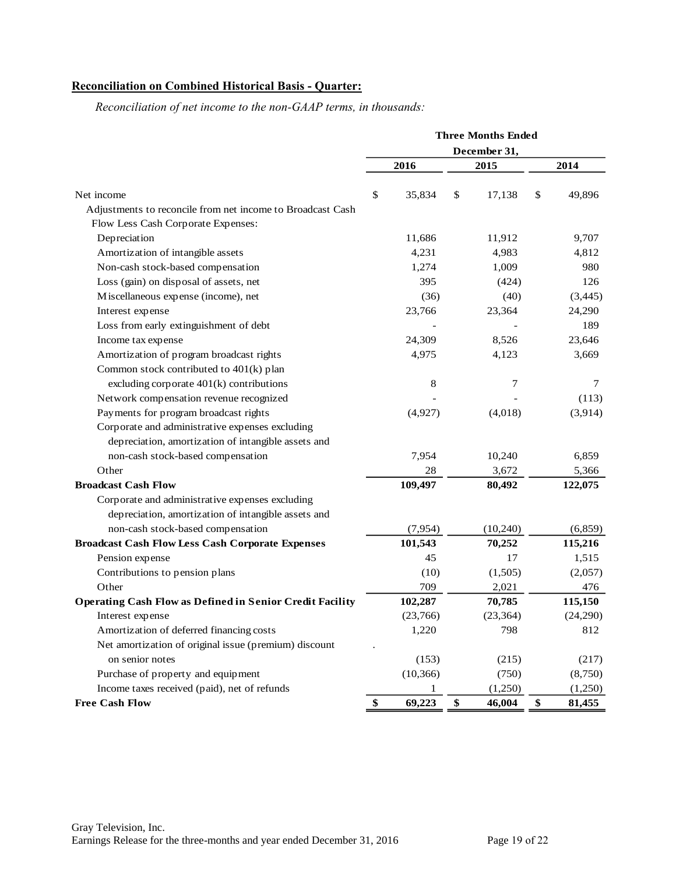# **Reconciliation on Combined Historical Basis - Quarter:**

|                                                                 | <b>Three Months Ended</b> |    |           |    |          |  |
|-----------------------------------------------------------------|---------------------------|----|-----------|----|----------|--|
|                                                                 | December 31,              |    |           |    |          |  |
|                                                                 | 2016                      |    | 2015      |    | 2014     |  |
| Net income                                                      | \$<br>35,834              | \$ | 17,138    | \$ | 49,896   |  |
| Adjustments to reconcile from net income to Broadcast Cash      |                           |    |           |    |          |  |
| Flow Less Cash Corporate Expenses:                              |                           |    |           |    |          |  |
| Depreciation                                                    | 11,686                    |    | 11,912    |    | 9,707    |  |
| Amortization of intangible assets                               | 4,231                     |    | 4,983     |    | 4,812    |  |
| Non-cash stock-based compensation                               | 1,274                     |    | 1,009     |    | 980      |  |
| Loss (gain) on disposal of assets, net                          | 395                       |    | (424)     |    | 126      |  |
| Miscellaneous expense (income), net                             | (36)                      |    | (40)      |    | (3, 445) |  |
| Interest expense                                                | 23,766                    |    | 23,364    |    | 24,290   |  |
| Loss from early extinguishment of debt                          |                           |    |           |    | 189      |  |
| Income tax expense                                              | 24,309                    |    | 8,526     |    | 23,646   |  |
| Amortization of program broadcast rights                        | 4,975                     |    | 4,123     |    | 3,669    |  |
| Common stock contributed to 401(k) plan                         |                           |    |           |    |          |  |
| excluding corporate $401(k)$ contributions                      | 8                         |    | 7         |    | 7        |  |
| Network compensation revenue recognized                         |                           |    |           |    | (113)    |  |
| Payments for program broadcast rights                           | (4,927)                   |    | (4,018)   |    | (3,914)  |  |
| Corporate and administrative expenses excluding                 |                           |    |           |    |          |  |
| depreciation, amortization of intangible assets and             |                           |    |           |    |          |  |
| non-cash stock-based compensation                               | 7,954                     |    | 10,240    |    | 6,859    |  |
| Other                                                           | 28                        |    | 3,672     |    | 5,366    |  |
| <b>Broadcast Cash Flow</b>                                      | 109,497                   |    | 80,492    |    | 122,075  |  |
| Corporate and administrative expenses excluding                 |                           |    |           |    |          |  |
| depreciation, amortization of intangible assets and             |                           |    |           |    |          |  |
| non-cash stock-based compensation                               | (7,954)                   |    | (10, 240) |    | (6, 859) |  |
| <b>Broadcast Cash Flow Less Cash Corporate Expenses</b>         | 101,543                   |    | 70,252    |    | 115,216  |  |
| Pension expense                                                 | 45                        |    | 17        |    | 1,515    |  |
| Contributions to pension plans                                  | (10)                      |    | (1,505)   |    | (2,057)  |  |
| Other                                                           | 709                       |    | 2,021     |    | 476      |  |
| <b>Operating Cash Flow as Defined in Senior Credit Facility</b> | 102,287                   |    | 70,785    |    | 115,150  |  |
| Interest expense                                                | (23,766)                  |    | (23, 364) |    | (24,290) |  |
| Amortization of deferred financing costs                        | 1,220                     |    | 798       |    | 812      |  |
| Net amortization of original issue (premium) discount           |                           |    |           |    |          |  |
| on senior notes                                                 | (153)                     |    | (215)     |    | (217)    |  |
| Purchase of property and equipment                              | (10, 366)                 |    | (750)     |    | (8,750)  |  |
| Income taxes received (paid), net of refunds                    | 1                         |    | (1,250)   |    | (1,250)  |  |
| <b>Free Cash Flow</b>                                           | \$<br>69,223              | \$ | 46,004    | \$ | 81,455   |  |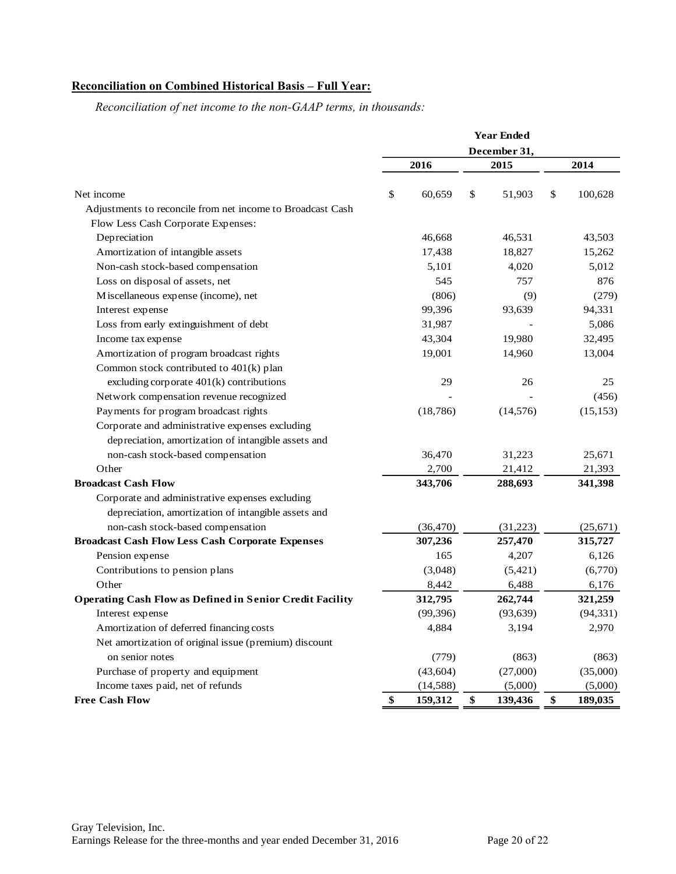# **Reconciliation on Combined Historical Basis – Full Year:**

|                                                                 |              | <b>Year Ended</b> |    |           |    |           |
|-----------------------------------------------------------------|--------------|-------------------|----|-----------|----|-----------|
|                                                                 | December 31, |                   |    |           |    |           |
|                                                                 |              | 2016              |    | 2015      |    | 2014      |
| Net income                                                      | \$           | 60,659            | \$ | 51,903    | \$ | 100,628   |
| Adjustments to reconcile from net income to Broadcast Cash      |              |                   |    |           |    |           |
| Flow Less Cash Corporate Expenses:                              |              |                   |    |           |    |           |
| Depreciation                                                    |              | 46,668            |    | 46,531    |    | 43,503    |
| Amortization of intangible assets                               |              | 17,438            |    | 18,827    |    | 15,262    |
| Non-cash stock-based compensation                               |              | 5,101             |    | 4,020     |    | 5,012     |
| Loss on disposal of assets, net                                 |              | 545               |    | 757       |    | 876       |
| Miscellaneous expense (income), net                             |              | (806)             |    | (9)       |    | (279)     |
| Interest expense                                                |              | 99,396            |    | 93,639    |    | 94,331    |
| Loss from early extinguishment of debt                          |              | 31,987            |    |           |    | 5,086     |
| Income tax expense                                              |              | 43,304            |    | 19,980    |    | 32,495    |
| Amortization of program broadcast rights                        |              | 19,001            |    | 14,960    |    | 13,004    |
| Common stock contributed to 401(k) plan                         |              |                   |    |           |    |           |
| excluding corporate 401(k) contributions                        |              | 29                |    | 26        |    | 25        |
| Network compensation revenue recognized                         |              |                   |    |           |    | (456)     |
| Payments for program broadcast rights                           |              | (18, 786)         |    | (14, 576) |    | (15, 153) |
| Corporate and administrative expenses excluding                 |              |                   |    |           |    |           |
| depreciation, amortization of intangible assets and             |              |                   |    |           |    |           |
| non-cash stock-based compensation                               |              | 36,470            |    | 31,223    |    | 25,671    |
| Other                                                           |              | 2,700             |    | 21,412    |    | 21,393    |
| <b>Broadcast Cash Flow</b>                                      |              | 343,706           |    | 288,693   |    | 341,398   |
| Corporate and administrative expenses excluding                 |              |                   |    |           |    |           |
| depreciation, amortization of intangible assets and             |              |                   |    |           |    |           |
| non-cash stock-based compensation                               |              | (36, 470)         |    | (31,223)  |    | (25, 671) |
| <b>Broadcast Cash Flow Less Cash Corporate Expenses</b>         |              | 307,236           |    | 257,470   |    | 315,727   |
| Pension expense                                                 |              | 165               |    | 4,207     |    | 6,126     |
| Contributions to pension plans                                  |              | (3,048)           |    | (5, 421)  |    | (6,770)   |
| Other                                                           |              | 8,442             |    | 6,488     |    | 6,176     |
| <b>Operating Cash Flow as Defined in Senior Credit Facility</b> |              | 312,795           |    | 262,744   |    | 321,259   |
| Interest expense                                                |              | (99, 396)         |    | (93, 639) |    | (94, 331) |
| Amortization of deferred financing costs                        |              | 4,884             |    | 3,194     |    | 2,970     |
| Net amortization of original issue (premium) discount           |              |                   |    |           |    |           |
| on senior notes                                                 |              | (779)             |    | (863)     |    | (863)     |
| Purchase of property and equipment                              |              | (43, 604)         |    | (27,000)  |    | (35,000)  |
| Income taxes paid, net of refunds                               |              | (14,588)          |    | (5,000)   |    | (5,000)   |
| <b>Free Cash Flow</b>                                           | \$           | 159,312           | \$ | 139,436   | \$ | 189,035   |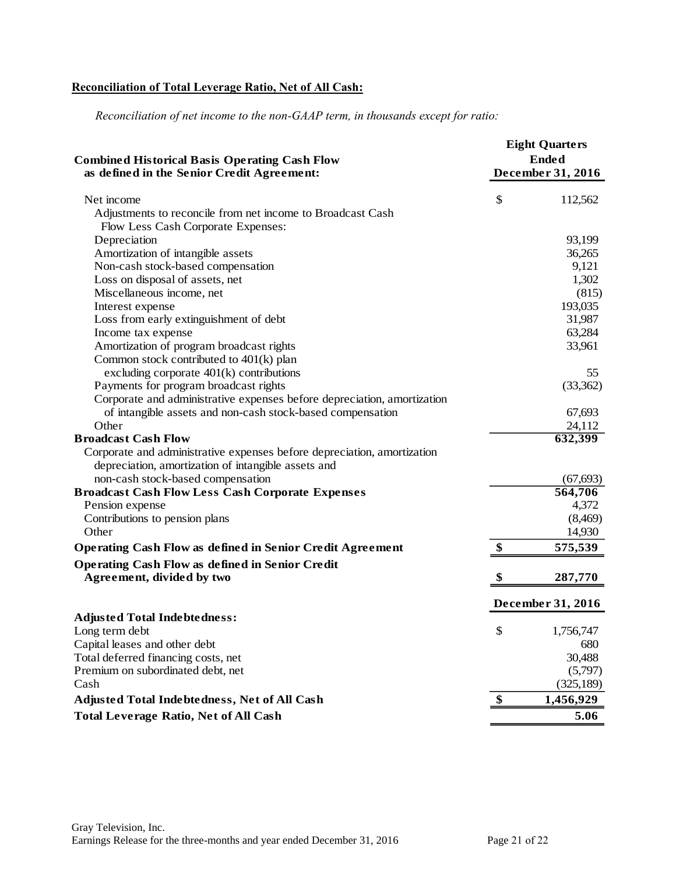# **Reconciliation of Total Leverage Ratio, Net of All Cash:**

*Reconciliation of net income to the non-GAAP term, in thousands except for ratio:*

| <b>Combined Historical Basis Operating Cash Flow</b><br>as defined in the Senior Credit Agreement: |    | <b>Eight Quarters</b><br><b>Ended</b><br>December 31, 2016 |  |  |
|----------------------------------------------------------------------------------------------------|----|------------------------------------------------------------|--|--|
| Net income                                                                                         | \$ | 112,562                                                    |  |  |
| Adjustments to reconcile from net income to Broadcast Cash                                         |    |                                                            |  |  |
| Flow Less Cash Corporate Expenses:                                                                 |    |                                                            |  |  |
| Depreciation                                                                                       |    | 93,199                                                     |  |  |
| Amortization of intangible assets                                                                  |    | 36,265                                                     |  |  |
| Non-cash stock-based compensation                                                                  |    | 9,121                                                      |  |  |
| Loss on disposal of assets, net                                                                    |    | 1,302                                                      |  |  |
| Miscellaneous income, net                                                                          |    | (815)                                                      |  |  |
| Interest expense                                                                                   |    | 193,035                                                    |  |  |
| Loss from early extinguishment of debt                                                             |    | 31,987                                                     |  |  |
| Income tax expense                                                                                 |    | 63,284                                                     |  |  |
| Amortization of program broadcast rights                                                           |    | 33,961                                                     |  |  |
| Common stock contributed to $401(k)$ plan                                                          |    |                                                            |  |  |
| excluding corporate $401(k)$ contributions                                                         |    | 55                                                         |  |  |
| Payments for program broadcast rights                                                              |    | (33,362)                                                   |  |  |
| Corporate and administrative expenses before depreciation, amortization                            |    |                                                            |  |  |
| of intangible assets and non-cash stock-based compensation                                         |    | 67,693                                                     |  |  |
| Other                                                                                              |    | 24,112                                                     |  |  |
| <b>Broadcast Cash Flow</b>                                                                         |    | 632,399                                                    |  |  |
| Corporate and administrative expenses before depreciation, amortization                            |    |                                                            |  |  |
| depreciation, amortization of intangible assets and                                                |    |                                                            |  |  |
| non-cash stock-based compensation                                                                  |    | (67, 693)                                                  |  |  |
| <b>Broadcast Cash Flow Less Cash Corporate Expenses</b>                                            |    | 564,706                                                    |  |  |
| Pension expense                                                                                    |    | 4,372                                                      |  |  |
| Contributions to pension plans                                                                     |    | (8,469)                                                    |  |  |
| Other                                                                                              |    | 14,930                                                     |  |  |
| <b>Operating Cash Flow as defined in Senior Credit Agreement</b>                                   | \$ | 575,539                                                    |  |  |
| <b>Operating Cash Flow as defined in Senior Credit</b>                                             |    |                                                            |  |  |
| Agreement, divided by two                                                                          | \$ | 287,770                                                    |  |  |
|                                                                                                    |    | December 31, 2016                                          |  |  |
| <b>Adjusted Total Indebtedness:</b>                                                                |    |                                                            |  |  |
| Long term debt                                                                                     | \$ | 1,756,747                                                  |  |  |
| Capital leases and other debt                                                                      |    | 680                                                        |  |  |
| Total deferred financing costs, net                                                                |    | 30,488                                                     |  |  |
| Premium on subordinated debt, net                                                                  |    | (5,797)                                                    |  |  |
| Cash                                                                                               |    | (325, 189)                                                 |  |  |
| Adjusted Total Indebtedness, Net of All Cash                                                       | \$ | 1,456,929                                                  |  |  |
| <b>Total Leverage Ratio, Net of All Cash</b>                                                       |    | 5.06                                                       |  |  |